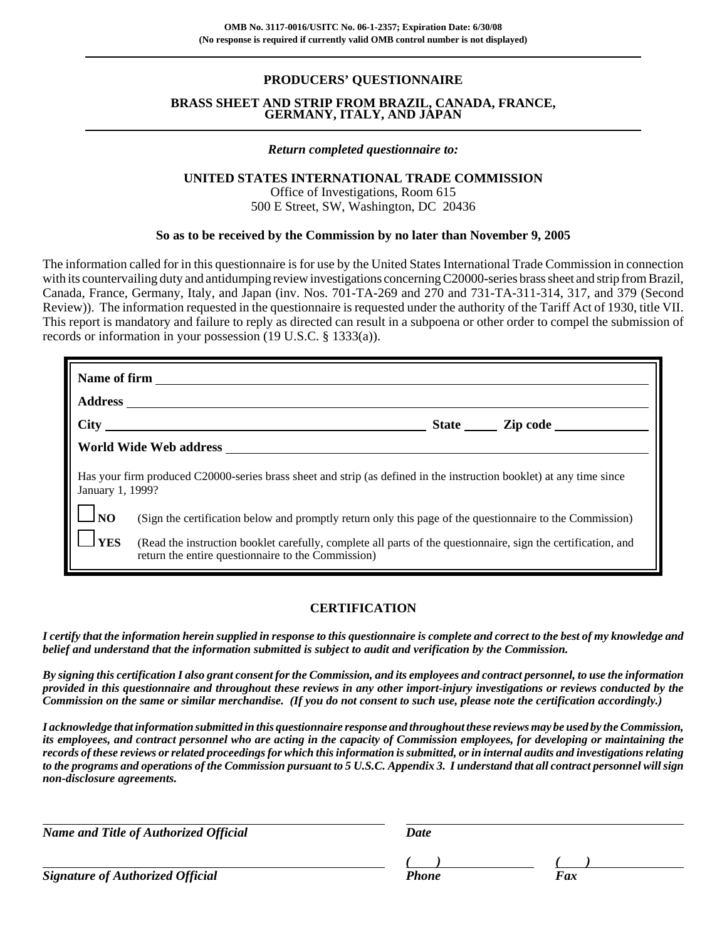# **PRODUCERS' QUESTIONNAIRE**

#### **BRASS SHEET AND STRIP FROM BRAZIL, CANADA, FRANCE, GERMANY, ITALY, AND JAPAN**

#### *Return completed questionnaire to:*

#### **UNITED STATES INTERNATIONAL TRADE COMMISSION**

Office of Investigations, Room 615 500 E Street, SW, Washington, DC 20436

#### **So as to be received by the Commission by no later than November 9, 2005**

The information called for in this questionnaire is for use by the United States International Trade Commission in connection with its countervailing duty and antidumping review investigations concerning C20000-series brass sheet and strip from Brazil, Canada, France, Germany, Italy, and Japan (inv. Nos. 701-TA-269 and 270 and 731-TA-311-314, 317, and 379 (Second Review)). The information requested in the questionnaire is requested under the authority of the Tariff Act of 1930, title VII. This report is mandatory and failure to reply as directed can result in a subpoena or other order to compel the submission of records or information in your possession (19 U.S.C. § 1333(a)).

|                                                                                                                                          | State <u>Lipcode</u>                                                                                                                                                |  |  |  |  |  |  |
|------------------------------------------------------------------------------------------------------------------------------------------|---------------------------------------------------------------------------------------------------------------------------------------------------------------------|--|--|--|--|--|--|
|                                                                                                                                          |                                                                                                                                                                     |  |  |  |  |  |  |
| Has your firm produced C20000-series brass sheet and strip (as defined in the instruction booklet) at any time since<br>January 1, 1999? |                                                                                                                                                                     |  |  |  |  |  |  |
| $\Box$ NO                                                                                                                                | (Sign the certification below and promptly return only this page of the questionnaire to the Commission)                                                            |  |  |  |  |  |  |
| <b>YES</b>                                                                                                                               | (Read the instruction booklet carefully, complete all parts of the questionnaire, sign the certification, and<br>return the entire questionnaire to the Commission) |  |  |  |  |  |  |

## **CERTIFICATION**

*I certify that the information herein supplied in response to this questionnaire is complete and correct to the best of my knowledge and belief and understand that the information submitted is subject to audit and verification by the Commission.*

*By signing this certification I also grant consent for the Commission, and its employees and contract personnel, to use the information provided in this questionnaire and throughout these reviews in any other import-injury investigations or reviews conducted by the Commission on the same or similar merchandise. (If you do not consent to such use, please note the certification accordingly.)*

*I acknowledge that information submitted in this questionnaire response and throughout these reviews may be used by the Commission, its employees, and contract personnel who are acting in the capacity of Commission employees, for developing or maintaining the records of these reviews or related proceedings for which this information is submitted, or in internal audits and investigations relating to the programs and operations of the Commission pursuant to 5 U.S.C. Appendix 3. I understand that all contract personnel will sign non-disclosure agreements.*

*Name and Title of Authorized Official Date* 

**Signature of Authorized Official Phone Faxce Phone** Phone

*( ) ( )*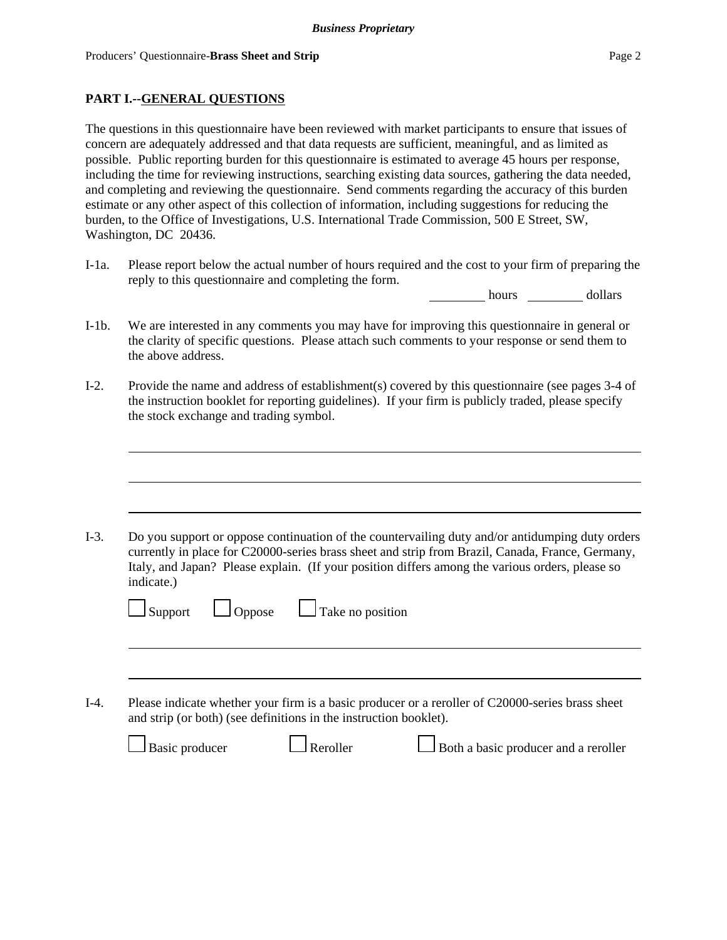# **PART I.--GENERAL QUESTIONS**

The questions in this questionnaire have been reviewed with market participants to ensure that issues of concern are adequately addressed and that data requests are sufficient, meaningful, and as limited as possible. Public reporting burden for this questionnaire is estimated to average 45 hours per response, including the time for reviewing instructions, searching existing data sources, gathering the data needed, and completing and reviewing the questionnaire. Send comments regarding the accuracy of this burden estimate or any other aspect of this collection of information, including suggestions for reducing the burden, to the Office of Investigations, U.S. International Trade Commission, 500 E Street, SW, Washington, DC 20436.

I-1a. Please report below the actual number of hours required and the cost to your firm of preparing the reply to this questionnaire and completing the form.

hours dollars

- I-1b. We are interested in any comments you may have for improving this questionnaire in general or the clarity of specific questions. Please attach such comments to your response or send them to the above address.
- I-2. Provide the name and address of establishment(s) covered by this questionnaire (see pages 3-4 of the instruction booklet for reporting guidelines). If your firm is publicly traded, please specify the stock exchange and trading symbol.

| Do you support or oppose continuation of the countervailing duty and/or antidumping duty orders<br>currently in place for C20000-series brass sheet and strip from Brazil, Canada, France, Germany,<br>Italy, and Japan? Please explain. (If your position differs among the various orders, please so<br>indicate.) |  |  |  |  |  |
|----------------------------------------------------------------------------------------------------------------------------------------------------------------------------------------------------------------------------------------------------------------------------------------------------------------------|--|--|--|--|--|
| $\Box$ Take no position<br>$\Box$ Oppose<br>$\Box$ Support                                                                                                                                                                                                                                                           |  |  |  |  |  |
|                                                                                                                                                                                                                                                                                                                      |  |  |  |  |  |
| Please indicate whether your firm is a basic producer or a reroller of C20000-series brass sheet<br>and strip (or both) (see definitions in the instruction booklet).                                                                                                                                                |  |  |  |  |  |
| Basic producer<br>Both a basic producer and a reroller<br>Reroller                                                                                                                                                                                                                                                   |  |  |  |  |  |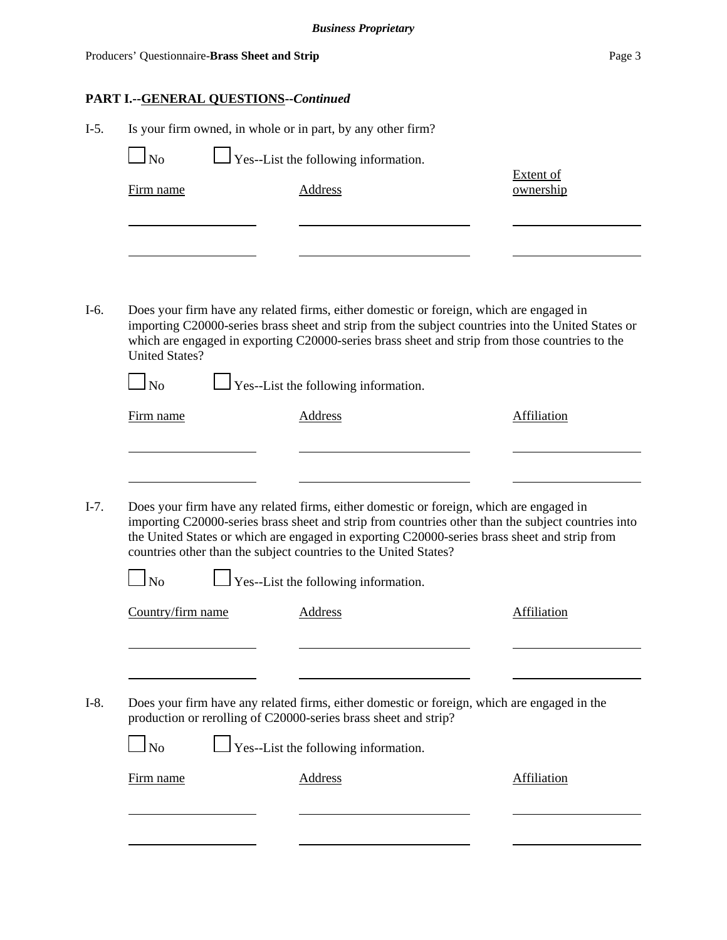# **PART I.--GENERAL QUESTIONS--***Continued*

|                       | Is your firm owned, in whole or in part, by any other firm?                                                                                                                                                                                                                                                                                                       |                               |
|-----------------------|-------------------------------------------------------------------------------------------------------------------------------------------------------------------------------------------------------------------------------------------------------------------------------------------------------------------------------------------------------------------|-------------------------------|
| $\overline{\rm ~No}$  | $\perp$ Yes--List the following information.                                                                                                                                                                                                                                                                                                                      |                               |
| Firm name             | <b>Address</b>                                                                                                                                                                                                                                                                                                                                                    | <b>Extent of</b><br>ownership |
|                       |                                                                                                                                                                                                                                                                                                                                                                   |                               |
| <b>United States?</b> | Does your firm have any related firms, either domestic or foreign, which are engaged in<br>importing C20000-series brass sheet and strip from the subject countries into the United States or<br>which are engaged in exporting C20000-series brass sheet and strip from those countries to the                                                                   |                               |
| $\Box$ No             | $\perp$ Yes--List the following information.                                                                                                                                                                                                                                                                                                                      |                               |
| Firm name             | <b>Address</b>                                                                                                                                                                                                                                                                                                                                                    | <b>Affiliation</b>            |
|                       |                                                                                                                                                                                                                                                                                                                                                                   |                               |
|                       | Does your firm have any related firms, either domestic or foreign, which are engaged in<br>importing C20000-series brass sheet and strip from countries other than the subject countries into<br>the United States or which are engaged in exporting C20000-series brass sheet and strip from<br>countries other than the subject countries to the United States? |                               |
| $\log$                | $\Box$ Yes--List the following information.                                                                                                                                                                                                                                                                                                                       |                               |
| Country/firm name     | Address                                                                                                                                                                                                                                                                                                                                                           | Affiliation                   |
|                       |                                                                                                                                                                                                                                                                                                                                                                   |                               |
|                       | Does your firm have any related firms, either domestic or foreign, which are engaged in the<br>production or rerolling of C20000-series brass sheet and strip?                                                                                                                                                                                                    |                               |
| $\ln$                 | Yes--List the following information.                                                                                                                                                                                                                                                                                                                              |                               |
| Firm name             | Address                                                                                                                                                                                                                                                                                                                                                           | Affiliation                   |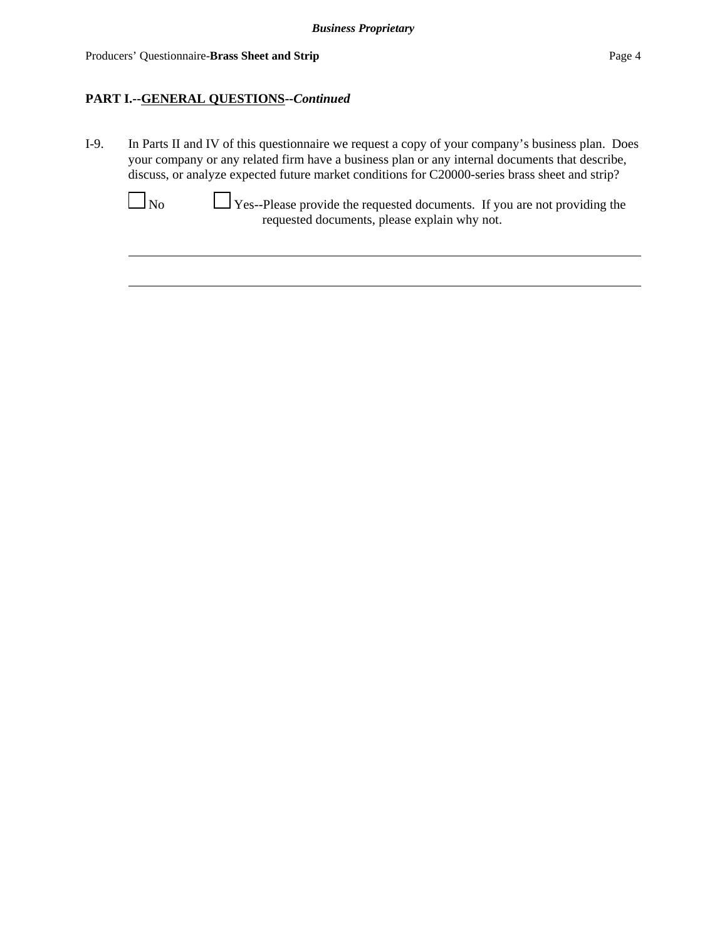# **PART I.--GENERAL QUESTIONS--***Continued*

I-9. In Parts II and IV of this questionnaire we request a copy of your company's business plan. Does your company or any related firm have a business plan or any internal documents that describe, discuss, or analyze expected future market conditions for C20000-series brass sheet and strip?



 $\Box$  No  $\Box$  Yes--Please provide the requested documents. If you are not providing the requested documents, please explain why not.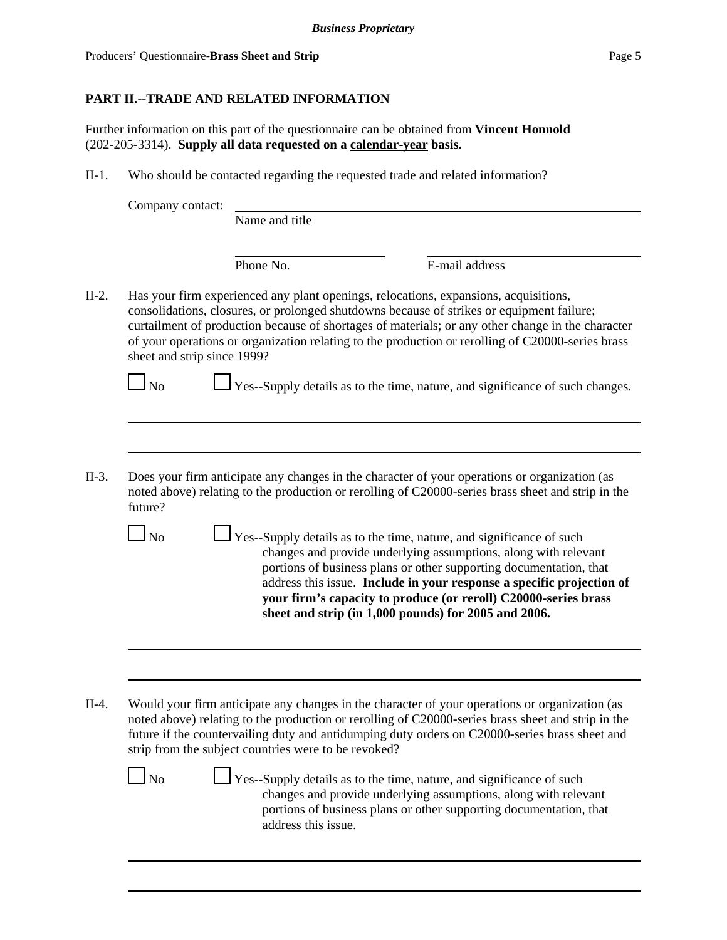# **PART II.--TRADE AND RELATED INFORMATION**

Further information on this part of the questionnaire can be obtained from **Vincent Honnold** (202-205-3314). **Supply all data requested on a calendar-year basis.**

II-1. Who should be contacted regarding the requested trade and related information?

|  | Company contact: |
|--|------------------|
|  |                  |

Name and title

Phone No. **E**-mail address

II-2. Has your firm experienced any plant openings, relocations, expansions, acquisitions, consolidations, closures, or prolonged shutdowns because of strikes or equipment failure; curtailment of production because of shortages of materials; or any other change in the character of your operations or organization relating to the production or rerolling of C20000-series brass sheet and strip since 1999?

- II-3. Does your firm anticipate any changes in the character of your operations or organization (as noted above) relating to the production or rerolling of C20000-series brass sheet and strip in the future?
	- $\Box$  No  $\Box$  Yes--Supply details as to the time, nature, and significance of such changes and provide underlying assumptions, along with relevant portions of business plans or other supporting documentation, that address this issue. **Include in your response a specific projection of your firm's capacity to produce (or reroll) C20000-series brass sheet and strip (in 1,000 pounds) for 2005 and 2006.**
- II-4. Would your firm anticipate any changes in the character of your operations or organization (as noted above) relating to the production or rerolling of C20000-series brass sheet and strip in the future if the countervailing duty and antidumping duty orders on C20000-series brass sheet and strip from the subject countries were to be revoked?

 $\perp$  Yes--Supply details as to the time, nature, and significance of such changes and provide underlying assumptions, along with relevant portions of business plans or other supporting documentation, that address this issue.

 $\Box$  No  $\Box$  Yes--Supply details as to the time, nature, and significance of such changes.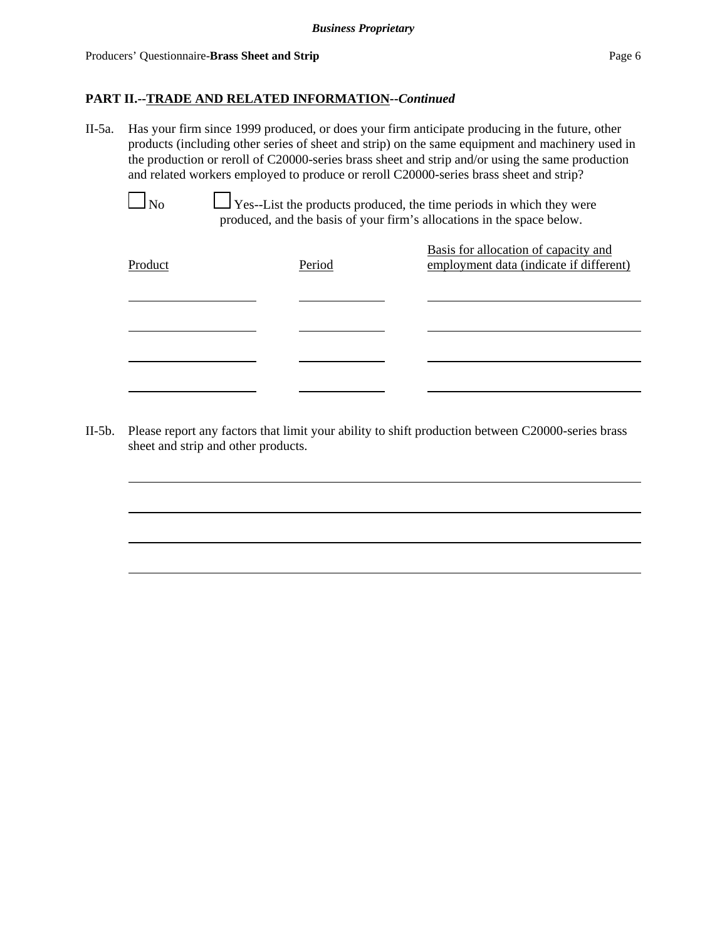II-5a. Has your firm since 1999 produced, or does your firm anticipate producing in the future, other products (including other series of sheet and strip) on the same equipment and machinery used in the production or reroll of C20000-series brass sheet and strip and/or using the same production and related workers employed to produce or reroll C20000-series brass sheet and strip?

 $\Box$  No  $\Box$  Yes--List the products produced, the time periods in which they were produced, and the basis of your firm's allocations in the space below.

| Product | Period | Basis for allocation of capacity and<br>employment data (indicate if different) |
|---------|--------|---------------------------------------------------------------------------------|
|         |        |                                                                                 |
|         |        |                                                                                 |
|         |        |                                                                                 |

II-5b. Please report any factors that limit your ability to shift production between C20000-series brass sheet and strip and other products.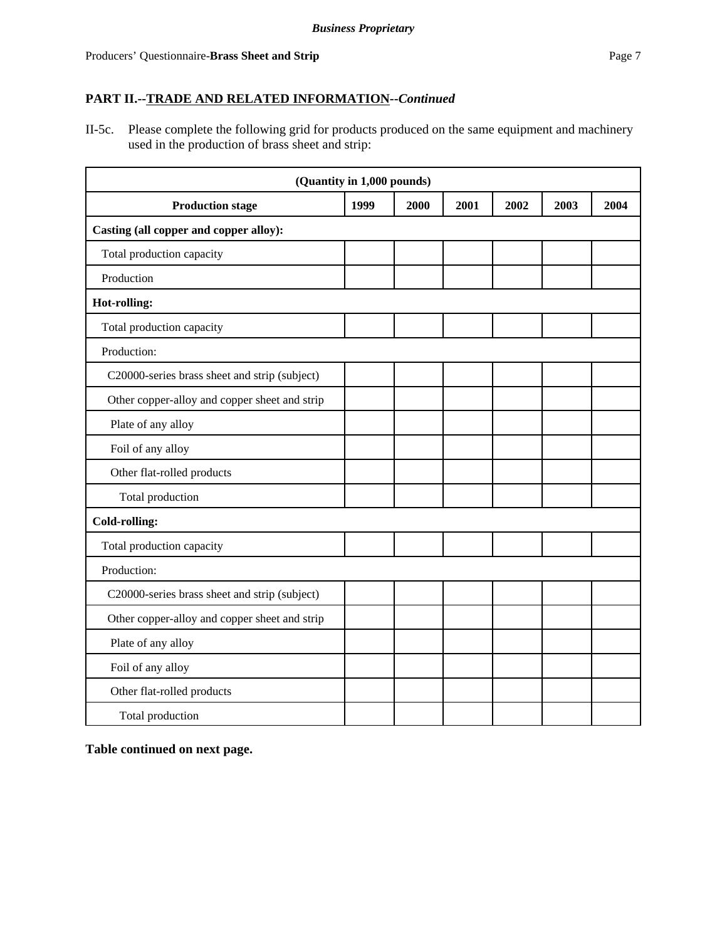II-5c. Please complete the following grid for products produced on the same equipment and machinery used in the production of brass sheet and strip:

| (Quantity in 1,000 pounds)                    |      |      |      |      |      |      |
|-----------------------------------------------|------|------|------|------|------|------|
| <b>Production stage</b>                       | 1999 | 2000 | 2001 | 2002 | 2003 | 2004 |
| Casting (all copper and copper alloy):        |      |      |      |      |      |      |
| Total production capacity                     |      |      |      |      |      |      |
| Production                                    |      |      |      |      |      |      |
| Hot-rolling:                                  |      |      |      |      |      |      |
| Total production capacity                     |      |      |      |      |      |      |
| Production:                                   |      |      |      |      |      |      |
| C20000-series brass sheet and strip (subject) |      |      |      |      |      |      |
| Other copper-alloy and copper sheet and strip |      |      |      |      |      |      |
| Plate of any alloy                            |      |      |      |      |      |      |
| Foil of any alloy                             |      |      |      |      |      |      |
| Other flat-rolled products                    |      |      |      |      |      |      |
| Total production                              |      |      |      |      |      |      |
| <b>Cold-rolling:</b>                          |      |      |      |      |      |      |
| Total production capacity                     |      |      |      |      |      |      |
| Production:                                   |      |      |      |      |      |      |
| C20000-series brass sheet and strip (subject) |      |      |      |      |      |      |
| Other copper-alloy and copper sheet and strip |      |      |      |      |      |      |
| Plate of any alloy                            |      |      |      |      |      |      |
| Foil of any alloy                             |      |      |      |      |      |      |
| Other flat-rolled products                    |      |      |      |      |      |      |
| Total production                              |      |      |      |      |      |      |

**Table continued on next page.**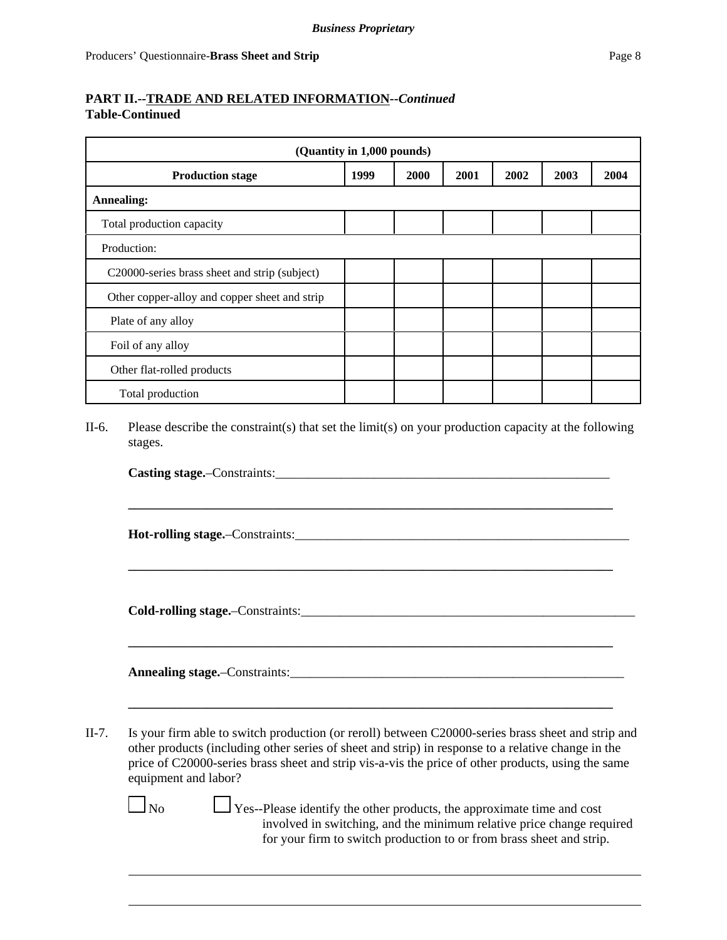# **PART II.--TRADE AND RELATED INFORMATION--***Continued* **Table-Continued**

| (Quantity in 1,000 pounds)                    |      |      |      |      |      |      |
|-----------------------------------------------|------|------|------|------|------|------|
| <b>Production stage</b>                       | 1999 | 2000 | 2001 | 2002 | 2003 | 2004 |
| <b>Annealing:</b>                             |      |      |      |      |      |      |
| Total production capacity                     |      |      |      |      |      |      |
| Production:                                   |      |      |      |      |      |      |
| C20000-series brass sheet and strip (subject) |      |      |      |      |      |      |
| Other copper-alloy and copper sheet and strip |      |      |      |      |      |      |
| Plate of any alloy                            |      |      |      |      |      |      |
| Foil of any alloy                             |      |      |      |      |      |      |
| Other flat-rolled products                    |      |      |      |      |      |      |
| Total production                              |      |      |      |      |      |      |

II-6. Please describe the constraint(s) that set the limit(s) on your production capacity at the following stages.

**Casting stage.**–Constraints:

**\_\_\_\_\_\_\_\_\_\_\_\_\_\_\_\_\_\_\_\_\_\_\_\_\_\_\_\_\_\_\_\_\_\_\_\_\_\_\_\_\_\_\_\_\_\_\_\_\_\_\_\_\_\_\_\_\_\_\_\_\_\_\_\_\_\_\_\_\_\_\_\_\_\_**

**\_\_\_\_\_\_\_\_\_\_\_\_\_\_\_\_\_\_\_\_\_\_\_\_\_\_\_\_\_\_\_\_\_\_\_\_\_\_\_\_\_\_\_\_\_\_\_\_\_\_\_\_\_\_\_\_\_\_\_\_\_\_\_\_\_\_\_\_\_\_\_\_\_\_**

**\_\_\_\_\_\_\_\_\_\_\_\_\_\_\_\_\_\_\_\_\_\_\_\_\_\_\_\_\_\_\_\_\_\_\_\_\_\_\_\_\_\_\_\_\_\_\_\_\_\_\_\_\_\_\_\_\_\_\_\_\_\_\_\_\_\_\_\_\_\_\_\_\_\_**

**\_\_\_\_\_\_\_\_\_\_\_\_\_\_\_\_\_\_\_\_\_\_\_\_\_\_\_\_\_\_\_\_\_\_\_\_\_\_\_\_\_\_\_\_\_\_\_\_\_\_\_\_\_\_\_\_\_\_\_\_\_\_\_\_\_\_\_\_\_\_\_\_\_\_**

**Hot-rolling stage.**–Constraints:\_\_\_\_\_\_\_\_\_\_\_\_\_\_\_\_\_\_\_\_\_\_\_\_\_\_\_\_\_\_\_\_\_\_\_\_\_\_\_\_\_\_\_\_\_\_\_\_\_\_\_

**Cold-rolling stage.**–Constraints:\_\_\_\_\_\_\_\_\_\_\_\_\_\_\_\_\_\_\_\_\_\_\_\_\_\_\_\_\_\_\_\_\_\_\_\_\_\_\_\_\_\_\_\_\_\_\_\_\_\_\_

**Annealing stage.**–Constraints:\_\_\_\_\_\_\_\_\_\_\_\_\_\_\_\_\_\_\_\_\_\_\_\_\_\_\_\_\_\_\_\_\_\_\_\_\_\_\_\_\_\_\_\_\_\_\_\_\_\_\_

II-7. Is your firm able to switch production (or reroll) between C20000-series brass sheet and strip and other products (including other series of sheet and strip) in response to a relative change in the price of C20000-series brass sheet and strip vis-a-vis the price of other products, using the same equipment and labor?

 $\Box$  No  $\Box$  Yes--Please identify the other products, the approximate time and cost involved in switching, and the minimum relative price change required for your firm to switch production to or from brass sheet and strip.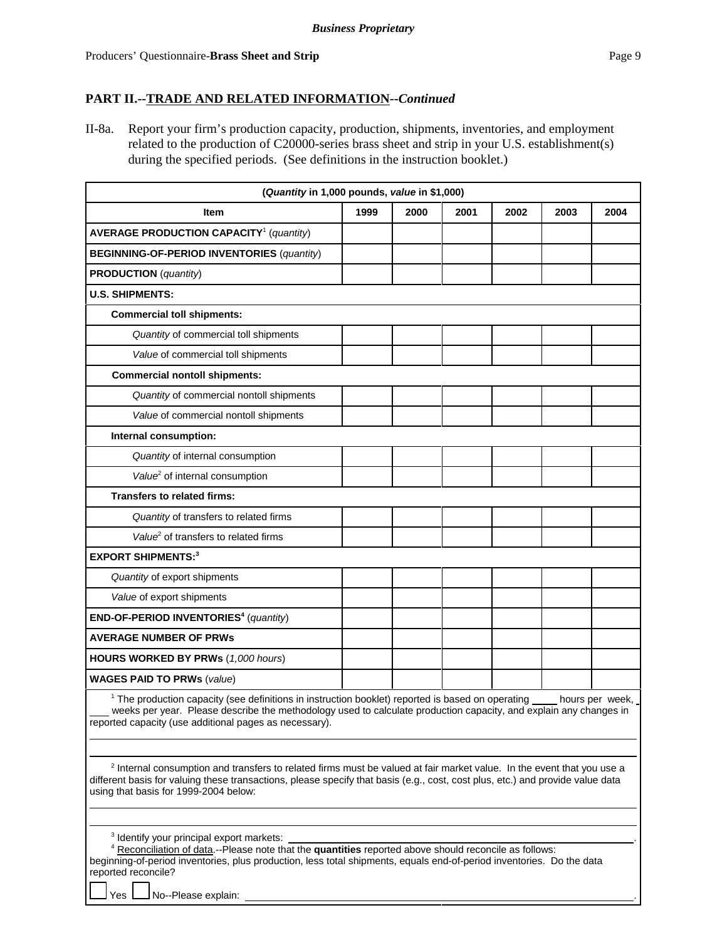II-8a. Report your firm's production capacity, production, shipments, inventories, and employment related to the production of C20000-series brass sheet and strip in your U.S. establishment(s) during the specified periods. (See definitions in the instruction booklet.)

| (Quantity in 1,000 pounds, value in \$1,000)                                                                                                                                                                                                                                                                                |      |      |      |      |      |      |
|-----------------------------------------------------------------------------------------------------------------------------------------------------------------------------------------------------------------------------------------------------------------------------------------------------------------------------|------|------|------|------|------|------|
| <b>Item</b>                                                                                                                                                                                                                                                                                                                 | 1999 | 2000 | 2001 | 2002 | 2003 | 2004 |
| <b>AVERAGE PRODUCTION CAPACITY<sup>1</sup></b> (quantity)                                                                                                                                                                                                                                                                   |      |      |      |      |      |      |
| <b>BEGINNING-OF-PERIOD INVENTORIES (quantity)</b>                                                                                                                                                                                                                                                                           |      |      |      |      |      |      |
| <b>PRODUCTION</b> (quantity)                                                                                                                                                                                                                                                                                                |      |      |      |      |      |      |
| <b>U.S. SHIPMENTS:</b>                                                                                                                                                                                                                                                                                                      |      |      |      |      |      |      |
| <b>Commercial toll shipments:</b>                                                                                                                                                                                                                                                                                           |      |      |      |      |      |      |
| Quantity of commercial toll shipments                                                                                                                                                                                                                                                                                       |      |      |      |      |      |      |
| Value of commercial toll shipments                                                                                                                                                                                                                                                                                          |      |      |      |      |      |      |
| <b>Commercial nontoll shipments:</b>                                                                                                                                                                                                                                                                                        |      |      |      |      |      |      |
| Quantity of commercial nontoll shipments                                                                                                                                                                                                                                                                                    |      |      |      |      |      |      |
| Value of commercial nontoll shipments                                                                                                                                                                                                                                                                                       |      |      |      |      |      |      |
| Internal consumption:                                                                                                                                                                                                                                                                                                       |      |      |      |      |      |      |
| Quantity of internal consumption                                                                                                                                                                                                                                                                                            |      |      |      |      |      |      |
| Value <sup>2</sup> of internal consumption                                                                                                                                                                                                                                                                                  |      |      |      |      |      |      |
| <b>Transfers to related firms:</b>                                                                                                                                                                                                                                                                                          |      |      |      |      |      |      |
| Quantity of transfers to related firms                                                                                                                                                                                                                                                                                      |      |      |      |      |      |      |
| Value <sup>2</sup> of transfers to related firms                                                                                                                                                                                                                                                                            |      |      |      |      |      |      |
| <b>EXPORT SHIPMENTS:3</b>                                                                                                                                                                                                                                                                                                   |      |      |      |      |      |      |
| Quantity of export shipments                                                                                                                                                                                                                                                                                                |      |      |      |      |      |      |
| Value of export shipments                                                                                                                                                                                                                                                                                                   |      |      |      |      |      |      |
| END-OF-PERIOD INVENTORIES <sup>4</sup> (quantity)                                                                                                                                                                                                                                                                           |      |      |      |      |      |      |
| <b>AVERAGE NUMBER OF PRWS</b>                                                                                                                                                                                                                                                                                               |      |      |      |      |      |      |
| <b>HOURS WORKED BY PRWs (1,000 hours)</b>                                                                                                                                                                                                                                                                                   |      |      |      |      |      |      |
| <b>WAGES PAID TO PRWs (value)</b>                                                                                                                                                                                                                                                                                           |      |      |      |      |      |      |
| <sup>1</sup> The production capacity (see definitions in instruction booklet) reported is based on operating ____ hours per week,<br>weeks per year. Please describe the methodology used to calculate production capacity, and explain any changes in<br>reported capacity (use additional pages as necessary).            |      |      |      |      |      |      |
| <sup>2</sup> Internal consumption and transfers to related firms must be valued at fair market value. In the event that you use a<br>different basis for valuing these transactions, please specify that basis (e.g., cost, cost plus, etc.) and provide value data<br>using that basis for 1999-2004 below:                |      |      |      |      |      |      |
| <sup>3</sup> Identify your principal export markets:<br><sup>4</sup> Reconciliation of data .-- Please note that the quantities reported above should reconcile as follows:<br>beginning-of-period inventories, plus production, less total shipments, equals end-of-period inventories. Do the data<br>reported reconcile? |      |      |      |      |      |      |

 $\Box$  No--Please explain: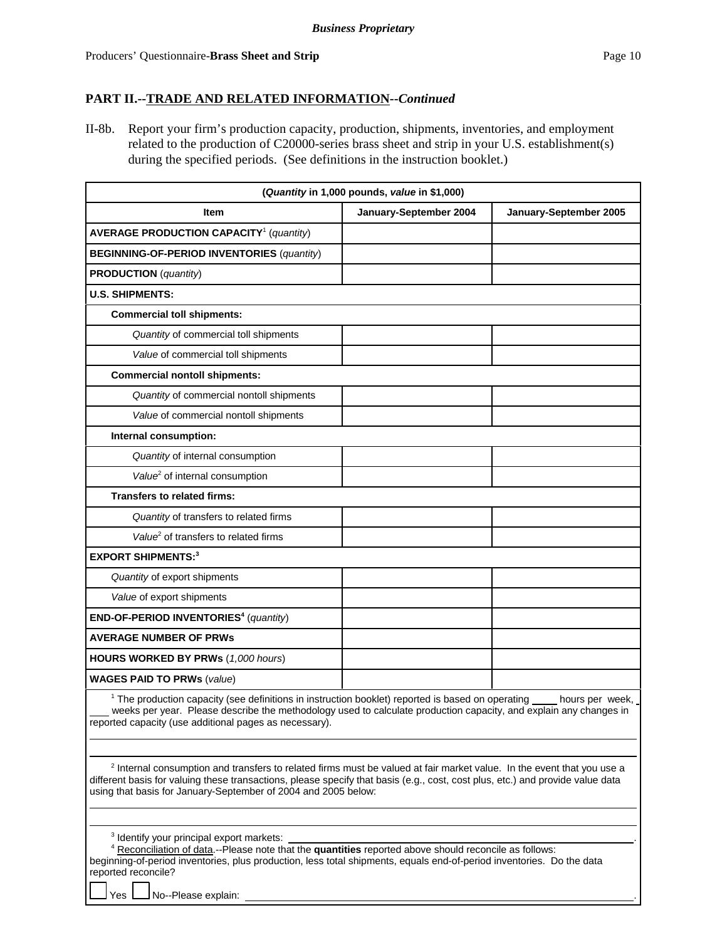II-8b. Report your firm's production capacity, production, shipments, inventories, and employment related to the production of C20000-series brass sheet and strip in your U.S. establishment(s) during the specified periods. (See definitions in the instruction booklet.)

| (Quantity in 1,000 pounds, value in \$1,000)                                                                                                                                                                                                                                                                                          |                        |                        |  |  |  |  |
|---------------------------------------------------------------------------------------------------------------------------------------------------------------------------------------------------------------------------------------------------------------------------------------------------------------------------------------|------------------------|------------------------|--|--|--|--|
| <b>Item</b>                                                                                                                                                                                                                                                                                                                           | January-September 2004 | January-September 2005 |  |  |  |  |
| <b>AVERAGE PRODUCTION CAPACITY<sup>1</sup></b> (quantity)                                                                                                                                                                                                                                                                             |                        |                        |  |  |  |  |
| <b>BEGINNING-OF-PERIOD INVENTORIES (quantity)</b>                                                                                                                                                                                                                                                                                     |                        |                        |  |  |  |  |
| <b>PRODUCTION</b> (quantity)                                                                                                                                                                                                                                                                                                          |                        |                        |  |  |  |  |
| <b>U.S. SHIPMENTS:</b>                                                                                                                                                                                                                                                                                                                |                        |                        |  |  |  |  |
| <b>Commercial toll shipments:</b>                                                                                                                                                                                                                                                                                                     |                        |                        |  |  |  |  |
| Quantity of commercial toll shipments                                                                                                                                                                                                                                                                                                 |                        |                        |  |  |  |  |
| Value of commercial toll shipments                                                                                                                                                                                                                                                                                                    |                        |                        |  |  |  |  |
| <b>Commercial nontoll shipments:</b>                                                                                                                                                                                                                                                                                                  |                        |                        |  |  |  |  |
| Quantity of commercial nontoll shipments                                                                                                                                                                                                                                                                                              |                        |                        |  |  |  |  |
| Value of commercial nontoll shipments                                                                                                                                                                                                                                                                                                 |                        |                        |  |  |  |  |
| Internal consumption:                                                                                                                                                                                                                                                                                                                 |                        |                        |  |  |  |  |
| Quantity of internal consumption                                                                                                                                                                                                                                                                                                      |                        |                        |  |  |  |  |
| Value <sup>2</sup> of internal consumption                                                                                                                                                                                                                                                                                            |                        |                        |  |  |  |  |
| <b>Transfers to related firms:</b>                                                                                                                                                                                                                                                                                                    |                        |                        |  |  |  |  |
| Quantity of transfers to related firms                                                                                                                                                                                                                                                                                                |                        |                        |  |  |  |  |
| Value <sup>2</sup> of transfers to related firms                                                                                                                                                                                                                                                                                      |                        |                        |  |  |  |  |
| <b>EXPORT SHIPMENTS:3</b>                                                                                                                                                                                                                                                                                                             |                        |                        |  |  |  |  |
| Quantity of export shipments                                                                                                                                                                                                                                                                                                          |                        |                        |  |  |  |  |
| Value of export shipments                                                                                                                                                                                                                                                                                                             |                        |                        |  |  |  |  |
| END-OF-PERIOD INVENTORIES <sup>4</sup> (quantity)                                                                                                                                                                                                                                                                                     |                        |                        |  |  |  |  |
| <b>AVERAGE NUMBER OF PRWS</b>                                                                                                                                                                                                                                                                                                         |                        |                        |  |  |  |  |
| <b>HOURS WORKED BY PRWs (1,000 hours)</b>                                                                                                                                                                                                                                                                                             |                        |                        |  |  |  |  |
| <b>WAGES PAID TO PRWs (value)</b>                                                                                                                                                                                                                                                                                                     |                        |                        |  |  |  |  |
| <sup>1</sup> The production capacity (see definitions in instruction booklet) reported is based on operating<br>hours per week,<br>weeks per year. Please describe the methodology used to calculate production capacity, and explain any changes in<br>reported capacity (use additional pages as necessary).                        |                        |                        |  |  |  |  |
| <sup>2</sup> Internal consumption and transfers to related firms must be valued at fair market value. In the event that you use a<br>different basis for valuing these transactions, please specify that basis (e.g., cost, cost plus, etc.) and provide value data<br>using that basis for January-September of 2004 and 2005 below: |                        |                        |  |  |  |  |
| <sup>3</sup> Identify your principal export markets:<br>4 Reconciliation of data.--Please note that the quantities reported above should reconcile as follows:<br>beginning-of-period inventories, plus production, less total shipments, equals end-of-period inventories. Do the data<br>reported reconcile?                        |                        |                        |  |  |  |  |

 $\Box$  No--Please explain: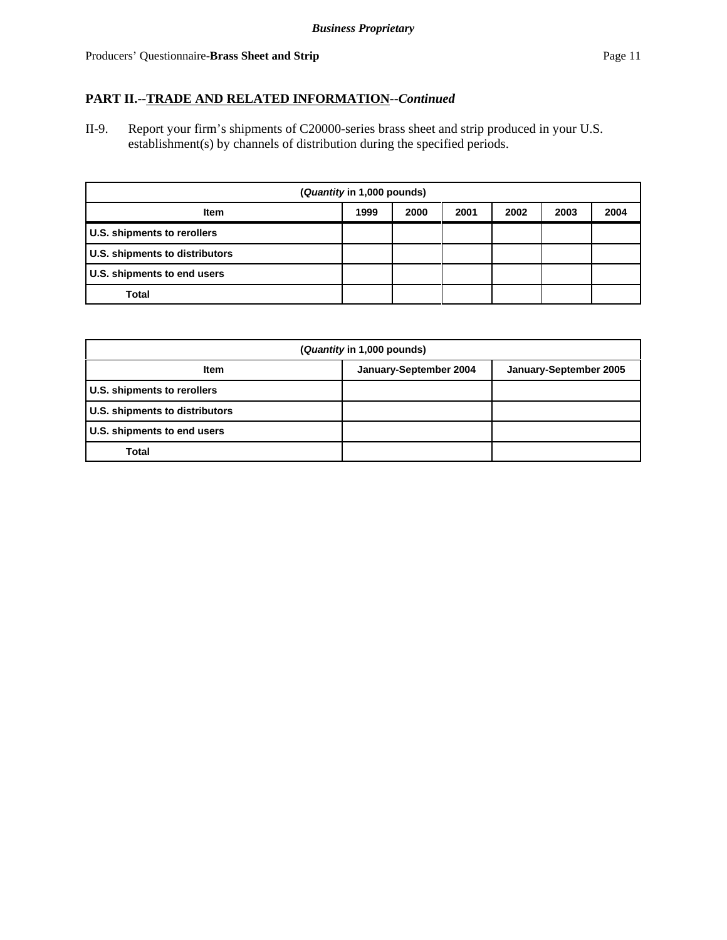II-9. Report your firm's shipments of C20000-series brass sheet and strip produced in your U.S. establishment(s) by channels of distribution during the specified periods.

| (Quantity in 1,000 pounds)            |      |      |      |      |      |      |
|---------------------------------------|------|------|------|------|------|------|
| <b>Item</b>                           | 1999 | 2000 | 2001 | 2002 | 2003 | 2004 |
| U.S. shipments to rerollers           |      |      |      |      |      |      |
| <b>U.S. shipments to distributors</b> |      |      |      |      |      |      |
| U.S. shipments to end users           |      |      |      |      |      |      |
| Total                                 |      |      |      |      |      |      |

| (Quantity in 1,000 pounds)     |                        |                        |  |  |  |  |
|--------------------------------|------------------------|------------------------|--|--|--|--|
| <b>Item</b>                    | January-September 2004 | January-September 2005 |  |  |  |  |
| U.S. shipments to rerollers    |                        |                        |  |  |  |  |
| U.S. shipments to distributors |                        |                        |  |  |  |  |
| U.S. shipments to end users    |                        |                        |  |  |  |  |
| Total                          |                        |                        |  |  |  |  |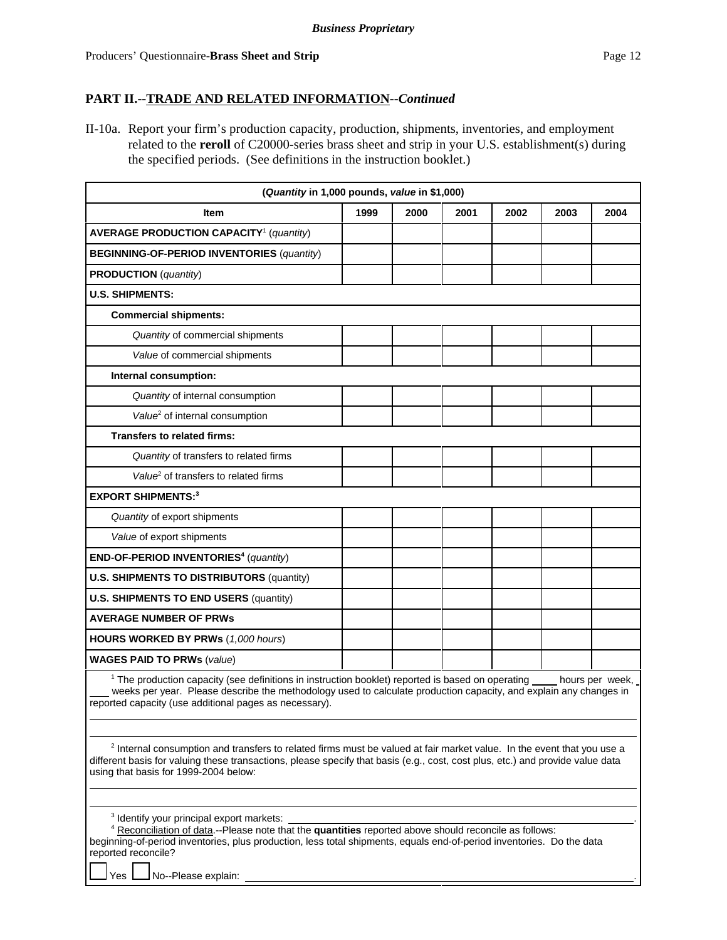II-10a. Report your firm's production capacity, production, shipments, inventories, and employment related to the **reroll** of C20000-series brass sheet and strip in your U.S. establishment(s) during the specified periods. (See definitions in the instruction booklet.)

| (Quantity in 1,000 pounds, value in \$1,000)                                                                                                                                                                                                                                                                 |      |      |      |      |      |                 |  |  |
|--------------------------------------------------------------------------------------------------------------------------------------------------------------------------------------------------------------------------------------------------------------------------------------------------------------|------|------|------|------|------|-----------------|--|--|
| <b>Item</b>                                                                                                                                                                                                                                                                                                  | 1999 | 2000 | 2001 | 2002 | 2003 | 2004            |  |  |
| <b>AVERAGE PRODUCTION CAPACITY<sup>1</sup></b> (quantity)                                                                                                                                                                                                                                                    |      |      |      |      |      |                 |  |  |
| <b>BEGINNING-OF-PERIOD INVENTORIES (quantity)</b>                                                                                                                                                                                                                                                            |      |      |      |      |      |                 |  |  |
| <b>PRODUCTION</b> (quantity)                                                                                                                                                                                                                                                                                 |      |      |      |      |      |                 |  |  |
| <b>U.S. SHIPMENTS:</b>                                                                                                                                                                                                                                                                                       |      |      |      |      |      |                 |  |  |
| <b>Commercial shipments:</b>                                                                                                                                                                                                                                                                                 |      |      |      |      |      |                 |  |  |
| Quantity of commercial shipments                                                                                                                                                                                                                                                                             |      |      |      |      |      |                 |  |  |
| Value of commercial shipments                                                                                                                                                                                                                                                                                |      |      |      |      |      |                 |  |  |
| Internal consumption:                                                                                                                                                                                                                                                                                        |      |      |      |      |      |                 |  |  |
| Quantity of internal consumption                                                                                                                                                                                                                                                                             |      |      |      |      |      |                 |  |  |
| Value <sup>2</sup> of internal consumption                                                                                                                                                                                                                                                                   |      |      |      |      |      |                 |  |  |
| <b>Transfers to related firms:</b>                                                                                                                                                                                                                                                                           |      |      |      |      |      |                 |  |  |
| Quantity of transfers to related firms                                                                                                                                                                                                                                                                       |      |      |      |      |      |                 |  |  |
| Value <sup>2</sup> of transfers to related firms                                                                                                                                                                                                                                                             |      |      |      |      |      |                 |  |  |
| <b>EXPORT SHIPMENTS:3</b>                                                                                                                                                                                                                                                                                    |      |      |      |      |      |                 |  |  |
| Quantity of export shipments                                                                                                                                                                                                                                                                                 |      |      |      |      |      |                 |  |  |
| Value of export shipments                                                                                                                                                                                                                                                                                    |      |      |      |      |      |                 |  |  |
| END-OF-PERIOD INVENTORIES <sup>4</sup> (quantity)                                                                                                                                                                                                                                                            |      |      |      |      |      |                 |  |  |
| <b>U.S. SHIPMENTS TO DISTRIBUTORS (quantity)</b>                                                                                                                                                                                                                                                             |      |      |      |      |      |                 |  |  |
| <b>U.S. SHIPMENTS TO END USERS (quantity)</b>                                                                                                                                                                                                                                                                |      |      |      |      |      |                 |  |  |
| <b>AVERAGE NUMBER OF PRWs</b>                                                                                                                                                                                                                                                                                |      |      |      |      |      |                 |  |  |
| <b>HOURS WORKED BY PRWs (1,000 hours)</b>                                                                                                                                                                                                                                                                    |      |      |      |      |      |                 |  |  |
| <b>WAGES PAID TO PRWs (value)</b>                                                                                                                                                                                                                                                                            |      |      |      |      |      |                 |  |  |
| <sup>1</sup> The production capacity (see definitions in instruction booklet) reported is based on operating<br>weeks per year. Please describe the methodology used to calculate production capacity, and explain any changes in<br>reported capacity (use additional pages as necessary).                  |      |      |      |      |      | hours per week, |  |  |
| <sup>2</sup> Internal consumption and transfers to related firms must be valued at fair market value. In the event that you use a<br>different basis for valuing these transactions, please specify that basis (e.g., cost, cost plus, etc.) and provide value data<br>using that basis for 1999-2004 below: |      |      |      |      |      |                 |  |  |

| <sup>3</sup> Identify your principal export markets:                                                                  |  |
|-----------------------------------------------------------------------------------------------------------------------|--|
| Reconciliation of data.--Please note that the <b>quantities</b> reported above should reconcile as follows:           |  |
| beginning-of-period inventories, plus production, less total shipments, equals end-of-period inventories. Do the data |  |
| reported reconcile?                                                                                                   |  |

Yes **No--Please explain:**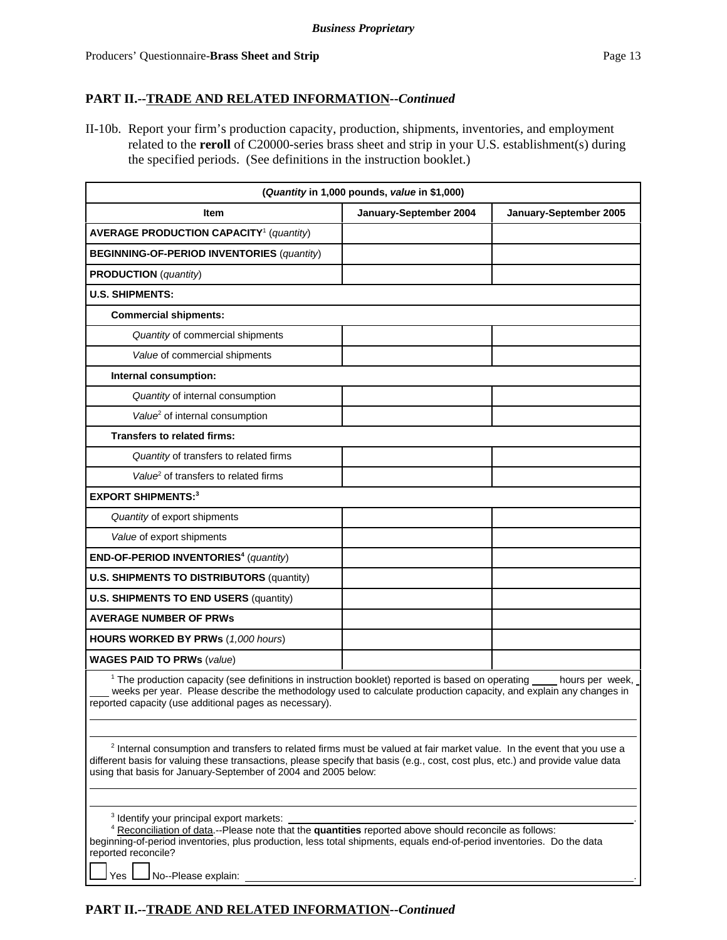II-10b. Report your firm's production capacity, production, shipments, inventories, and employment related to the **reroll** of C20000-series brass sheet and strip in your U.S. establishment(s) during the specified periods. (See definitions in the instruction booklet.)

| (Quantity in 1,000 pounds, value in \$1,000)                                                                                                                                                                                                                                                                                          |                        |                        |  |  |  |  |
|---------------------------------------------------------------------------------------------------------------------------------------------------------------------------------------------------------------------------------------------------------------------------------------------------------------------------------------|------------------------|------------------------|--|--|--|--|
| <b>Item</b>                                                                                                                                                                                                                                                                                                                           | January-September 2004 | January-September 2005 |  |  |  |  |
| <b>AVERAGE PRODUCTION CAPACITY<sup>1</sup></b> (quantity)                                                                                                                                                                                                                                                                             |                        |                        |  |  |  |  |
| <b>BEGINNING-OF-PERIOD INVENTORIES (quantity)</b>                                                                                                                                                                                                                                                                                     |                        |                        |  |  |  |  |
| <b>PRODUCTION</b> (quantity)                                                                                                                                                                                                                                                                                                          |                        |                        |  |  |  |  |
| <b>U.S. SHIPMENTS:</b>                                                                                                                                                                                                                                                                                                                |                        |                        |  |  |  |  |
| <b>Commercial shipments:</b>                                                                                                                                                                                                                                                                                                          |                        |                        |  |  |  |  |
| Quantity of commercial shipments                                                                                                                                                                                                                                                                                                      |                        |                        |  |  |  |  |
| Value of commercial shipments                                                                                                                                                                                                                                                                                                         |                        |                        |  |  |  |  |
| Internal consumption:                                                                                                                                                                                                                                                                                                                 |                        |                        |  |  |  |  |
| Quantity of internal consumption                                                                                                                                                                                                                                                                                                      |                        |                        |  |  |  |  |
| Value <sup>2</sup> of internal consumption                                                                                                                                                                                                                                                                                            |                        |                        |  |  |  |  |
| <b>Transfers to related firms:</b>                                                                                                                                                                                                                                                                                                    |                        |                        |  |  |  |  |
| Quantity of transfers to related firms                                                                                                                                                                                                                                                                                                |                        |                        |  |  |  |  |
| Value <sup>2</sup> of transfers to related firms                                                                                                                                                                                                                                                                                      |                        |                        |  |  |  |  |
| <b>EXPORT SHIPMENTS:3</b>                                                                                                                                                                                                                                                                                                             |                        |                        |  |  |  |  |
| Quantity of export shipments                                                                                                                                                                                                                                                                                                          |                        |                        |  |  |  |  |
| Value of export shipments                                                                                                                                                                                                                                                                                                             |                        |                        |  |  |  |  |
| END-OF-PERIOD INVENTORIES <sup>4</sup> (quantity)                                                                                                                                                                                                                                                                                     |                        |                        |  |  |  |  |
| <b>U.S. SHIPMENTS TO DISTRIBUTORS (quantity)</b>                                                                                                                                                                                                                                                                                      |                        |                        |  |  |  |  |
| <b>U.S. SHIPMENTS TO END USERS (quantity)</b>                                                                                                                                                                                                                                                                                         |                        |                        |  |  |  |  |
| <b>AVERAGE NUMBER OF PRWs</b>                                                                                                                                                                                                                                                                                                         |                        |                        |  |  |  |  |
| <b>HOURS WORKED BY PRWs (1,000 hours)</b>                                                                                                                                                                                                                                                                                             |                        |                        |  |  |  |  |
| <b>WAGES PAID TO PRWs (value)</b>                                                                                                                                                                                                                                                                                                     |                        |                        |  |  |  |  |
| <sup>1</sup> The production capacity (see definitions in instruction booklet) reported is based on operating ____ hours per week,<br>weeks per year. Please describe the methodology used to calculate production capacity, and explain any changes in<br>reported capacity (use additional pages as necessary).                      |                        |                        |  |  |  |  |
| <sup>2</sup> Internal consumption and transfers to related firms must be valued at fair market value. In the event that you use a<br>different basis for valuing these transactions, please specify that basis (e.g., cost, cost plus, etc.) and provide value data<br>using that basis for January-September of 2004 and 2005 below: |                        |                        |  |  |  |  |
| <sup>3</sup> Identify your principal export markets:<br>4 Reconciliation of data.--Please note that the quantities reported above should reconcile as follows:<br>beginning-of-period inventories, plus production, less total shipments, equals end-of-period inventories. Do the data<br>reported reconcile?                        |                        |                        |  |  |  |  |

Yes **No--Please explain:** 

## **PART II.--TRADE AND RELATED INFORMATION--***Continued*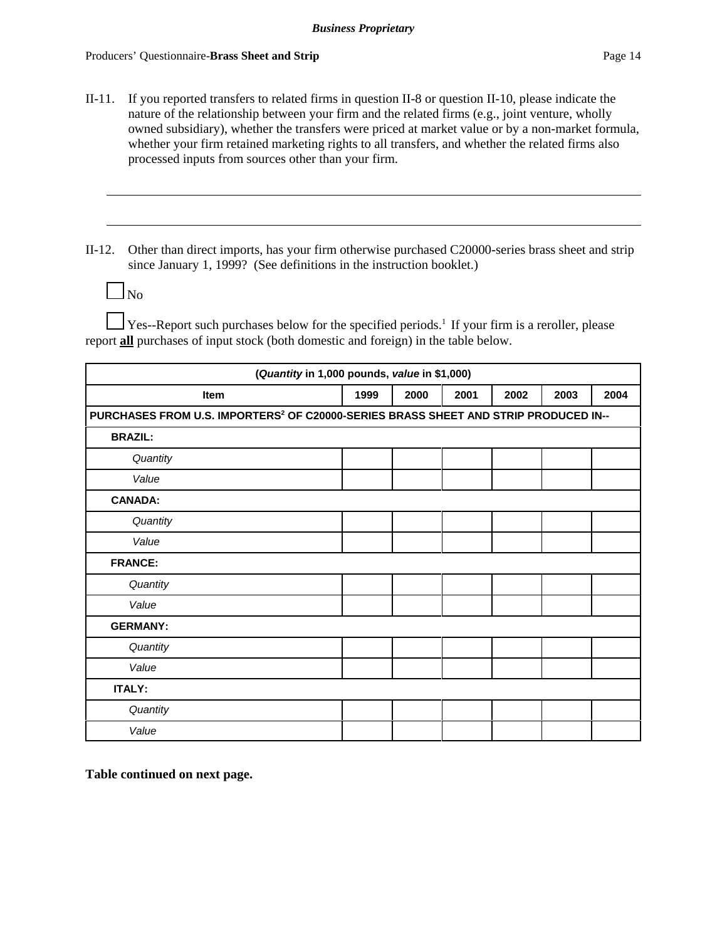II-11. If you reported transfers to related firms in question II-8 or question II-10, please indicate the nature of the relationship between your firm and the related firms (e.g., joint venture, wholly owned subsidiary), whether the transfers were priced at market value or by a non-market formula, whether your firm retained marketing rights to all transfers, and whether the related firms also processed inputs from sources other than your firm.

II-12. Other than direct imports, has your firm otherwise purchased C20000-series brass sheet and strip since January 1, 1999? (See definitions in the instruction booklet.)

|--|

 $\perp$  Yes--Report such purchases below for the specified periods.<sup>1</sup> If your firm is a reroller, please report **all** purchases of input stock (both domestic and foreign) in the table below.

| (Quantity in 1,000 pounds, value in \$1,000) |                                                                                                 |      |      |      |      |      |  |  |  |
|----------------------------------------------|-------------------------------------------------------------------------------------------------|------|------|------|------|------|--|--|--|
| <b>Item</b>                                  | 1999                                                                                            | 2000 | 2001 | 2002 | 2003 | 2004 |  |  |  |
|                                              | PURCHASES FROM U.S. IMPORTERS <sup>2</sup> OF C20000-SERIES BRASS SHEET AND STRIP PRODUCED IN-- |      |      |      |      |      |  |  |  |
| <b>BRAZIL:</b>                               |                                                                                                 |      |      |      |      |      |  |  |  |
| Quantity                                     |                                                                                                 |      |      |      |      |      |  |  |  |
| Value                                        |                                                                                                 |      |      |      |      |      |  |  |  |
| <b>CANADA:</b>                               |                                                                                                 |      |      |      |      |      |  |  |  |
| Quantity                                     |                                                                                                 |      |      |      |      |      |  |  |  |
| Value                                        |                                                                                                 |      |      |      |      |      |  |  |  |
| <b>FRANCE:</b>                               |                                                                                                 |      |      |      |      |      |  |  |  |
| Quantity                                     |                                                                                                 |      |      |      |      |      |  |  |  |
| Value                                        |                                                                                                 |      |      |      |      |      |  |  |  |
| <b>GERMANY:</b>                              |                                                                                                 |      |      |      |      |      |  |  |  |
| Quantity                                     |                                                                                                 |      |      |      |      |      |  |  |  |
| Value                                        |                                                                                                 |      |      |      |      |      |  |  |  |
| <b>ITALY:</b>                                |                                                                                                 |      |      |      |      |      |  |  |  |
| Quantity                                     |                                                                                                 |      |      |      |      |      |  |  |  |
| Value                                        |                                                                                                 |      |      |      |      |      |  |  |  |

**Table continued on next page.**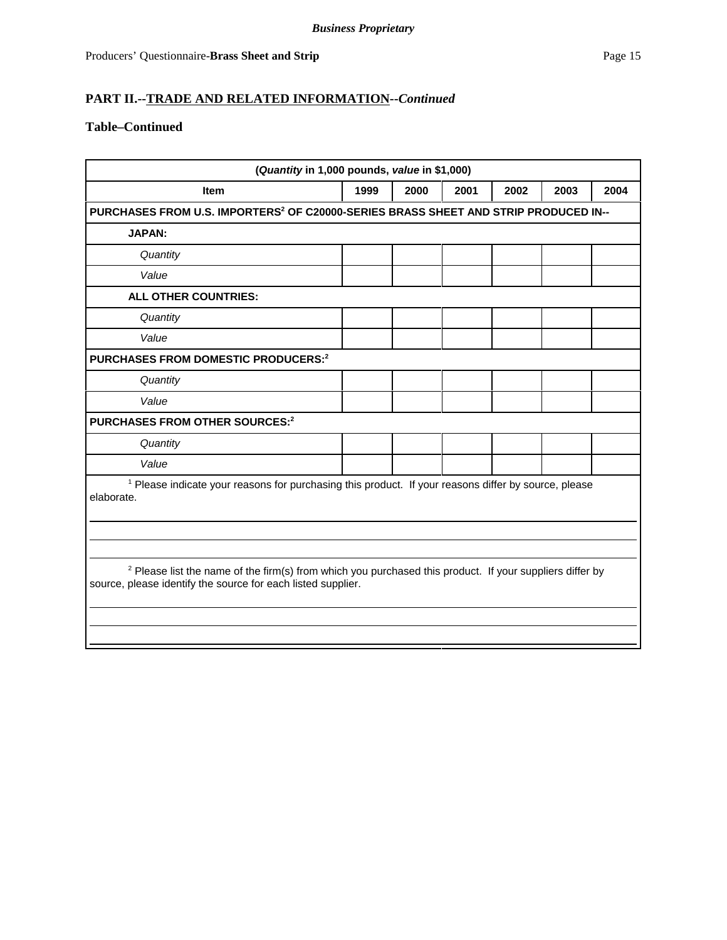# **Table–Continued**

| (Quantity in 1,000 pounds, value in \$1,000)                                                                                                                                        |  |  |  |  |  |  |  |  |
|-------------------------------------------------------------------------------------------------------------------------------------------------------------------------------------|--|--|--|--|--|--|--|--|
| 2000<br>2004<br>1999<br>2001<br>2002<br>2003<br>Item                                                                                                                                |  |  |  |  |  |  |  |  |
| PURCHASES FROM U.S. IMPORTERS <sup>2</sup> OF C20000-SERIES BRASS SHEET AND STRIP PRODUCED IN--                                                                                     |  |  |  |  |  |  |  |  |
| <b>JAPAN:</b>                                                                                                                                                                       |  |  |  |  |  |  |  |  |
| Quantity                                                                                                                                                                            |  |  |  |  |  |  |  |  |
| Value                                                                                                                                                                               |  |  |  |  |  |  |  |  |
| ALL OTHER COUNTRIES:                                                                                                                                                                |  |  |  |  |  |  |  |  |
| Quantity                                                                                                                                                                            |  |  |  |  |  |  |  |  |
| Value                                                                                                                                                                               |  |  |  |  |  |  |  |  |
| PURCHASES FROM DOMESTIC PRODUCERS: <sup>2</sup>                                                                                                                                     |  |  |  |  |  |  |  |  |
| Quantity                                                                                                                                                                            |  |  |  |  |  |  |  |  |
| Value                                                                                                                                                                               |  |  |  |  |  |  |  |  |
| <b>PURCHASES FROM OTHER SOURCES:2</b>                                                                                                                                               |  |  |  |  |  |  |  |  |
| Quantity                                                                                                                                                                            |  |  |  |  |  |  |  |  |
| Value                                                                                                                                                                               |  |  |  |  |  |  |  |  |
| <sup>1</sup> Please indicate your reasons for purchasing this product. If your reasons differ by source, please<br>elaborate.                                                       |  |  |  |  |  |  |  |  |
|                                                                                                                                                                                     |  |  |  |  |  |  |  |  |
|                                                                                                                                                                                     |  |  |  |  |  |  |  |  |
| <sup>2</sup> Please list the name of the firm(s) from which you purchased this product. If your suppliers differ by<br>source, please identify the source for each listed supplier. |  |  |  |  |  |  |  |  |
|                                                                                                                                                                                     |  |  |  |  |  |  |  |  |
|                                                                                                                                                                                     |  |  |  |  |  |  |  |  |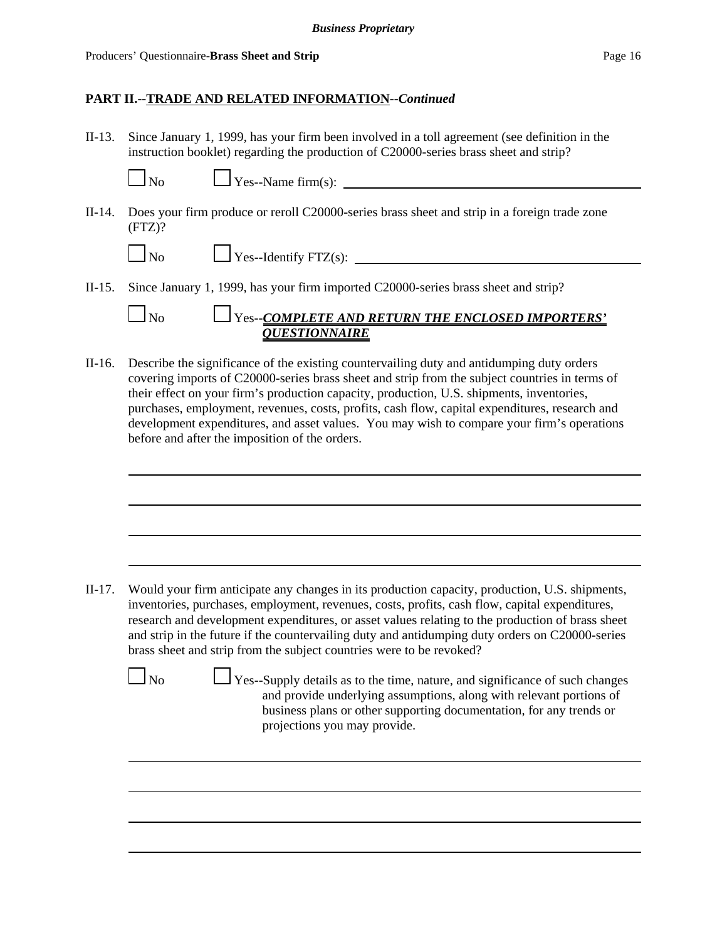II-13. Since January 1, 1999, has your firm been involved in a toll agreement (see definition in the instruction booklet) regarding the production of C20000-series brass sheet and strip?

 $\log$  Yes--Name firm(s):

II-14. Does your firm produce or reroll C20000-series brass sheet and strip in a foreign trade zone (FTZ)?

 $\Box$  Yes--Identify FTZ(s):  $\Box$ 

II-15. Since January 1, 1999, has your firm imported C20000-series brass sheet and strip?

 No Yes--*COMPLETE AND RETURN THE ENCLOSED IMPORTERS' QUESTIONNAIRE*

II-16. Describe the significance of the existing countervailing duty and antidumping duty orders covering imports of C20000-series brass sheet and strip from the subject countries in terms of their effect on your firm's production capacity, production, U.S. shipments, inventories, purchases, employment, revenues, costs, profits, cash flow, capital expenditures, research and development expenditures, and asset values. You may wish to compare your firm's operations before and after the imposition of the orders.

II-17. Would your firm anticipate any changes in its production capacity, production, U.S. shipments, inventories, purchases, employment, revenues, costs, profits, cash flow, capital expenditures, research and development expenditures, or asset values relating to the production of brass sheet and strip in the future if the countervailing duty and antidumping duty orders on C20000-series brass sheet and strip from the subject countries were to be revoked?

 $\Box$  No  $\Box$  Yes--Supply details as to the time, nature, and significance of such changes and provide underlying assumptions, along with relevant portions of business plans or other supporting documentation, for any trends or projections you may provide.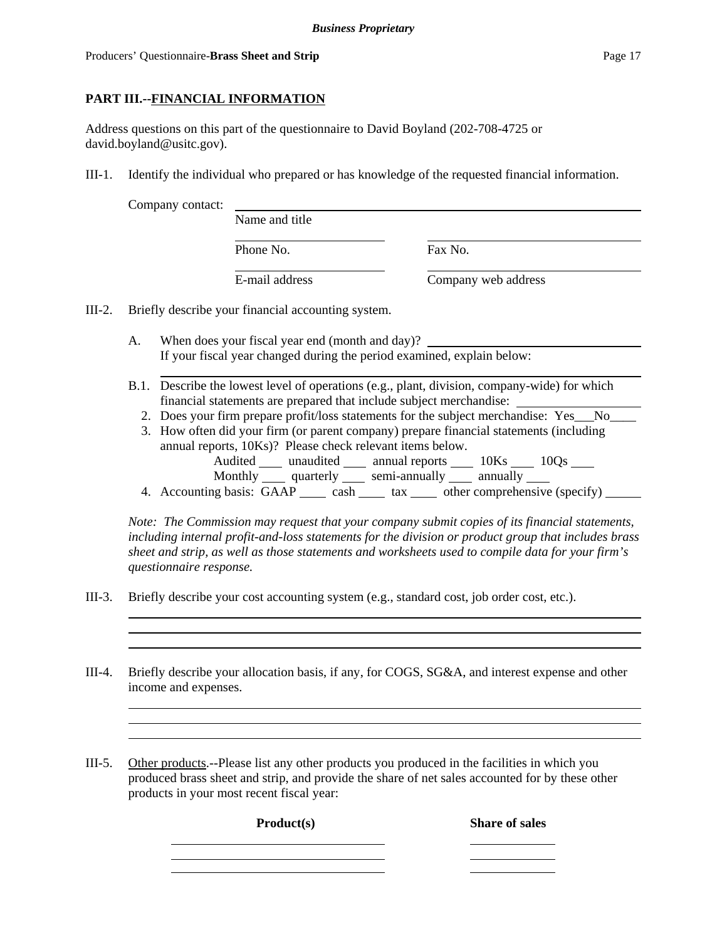# **PART III.--FINANCIAL INFORMATION**

Address questions on this part of the questionnaire to David Boyland (202-708-4725 or david.boyland@usitc.gov).

III-1. Identify the individual who prepared or has knowledge of the requested financial information.

|          | Company contact: |                                                    |                     |
|----------|------------------|----------------------------------------------------|---------------------|
|          |                  | Name and title                                     |                     |
|          |                  | Phone No.                                          | Fax No.             |
|          |                  | E-mail address                                     | Company web address |
| $III-2.$ |                  | Briefly describe your financial accounting system. |                     |

- A. When does your fiscal year end (month and day)? If your fiscal year changed during the period examined, explain below:
- B.1. Describe the lowest level of operations (e.g., plant, division, company-wide) for which financial statements are prepared that include subject merchandise:
	- 2. Does your firm prepare profit/loss statements for the subject merchandise: Yes No
	- 3. How often did your firm (or parent company) prepare financial statements (including annual reports, 10Ks)? Please check relevant items below. Audited \_\_\_\_\_ unaudited \_\_\_\_\_\_ annual reports \_\_\_\_\_\_ 10Ks \_\_\_\_\_ 10Qs \_\_\_\_\_
		- Monthly quarterly semi-annually annually annually
	- 4. Accounting basis:  $\overline{GAP}$  cash tax other comprehensive (specify)

*Note: The Commission may request that your company submit copies of its financial statements, including internal profit-and-loss statements for the division or product group that includes brass sheet and strip, as well as those statements and worksheets used to compile data for your firm's questionnaire response.*

- III-3. Briefly describe your cost accounting system (e.g., standard cost, job order cost, etc.).
- III-4. Briefly describe your allocation basis, if any, for COGS, SG&A, and interest expense and other income and expenses.
- III-5. Other products.--Please list any other products you produced in the facilities in which you produced brass sheet and strip, and provide the share of net sales accounted for by these other products in your most recent fiscal year:

**Product(s) Share of sales**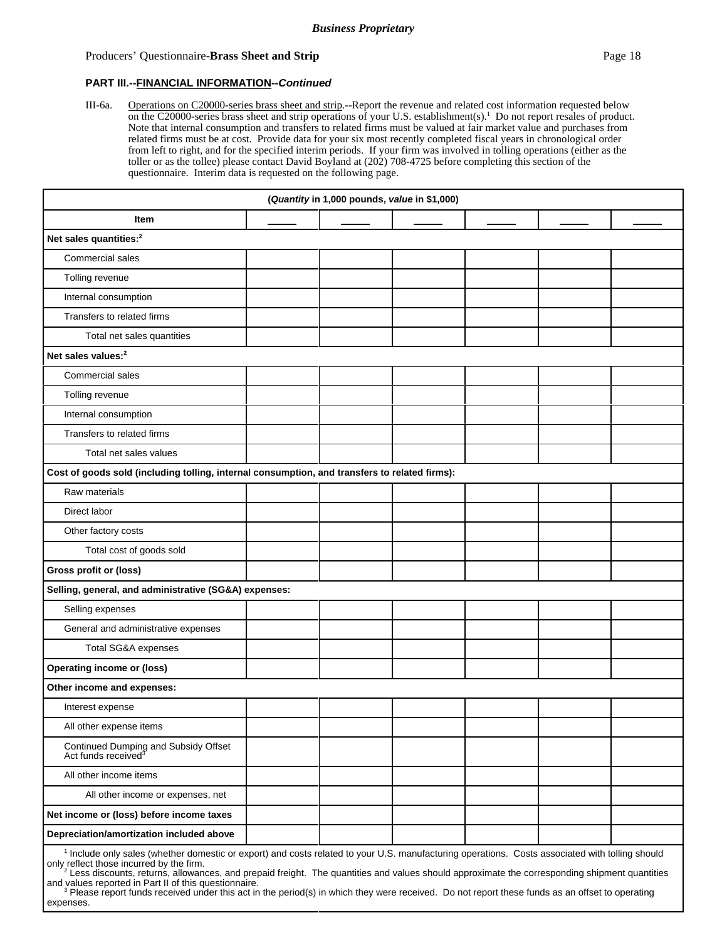#### Producers' Questionnaire-**Brass Sheet and Strip Page 18 Page 18 Page 18 Page 18**

#### **PART III.--FINANCIAL INFORMATION--***Continued*

III-6a. Operations on C20000-series brass sheet and strip.--Report the revenue and related cost information requested below on the C20000-series brass sheet and strip operations of your U.S. establishment(s).1 Do not report resales of product. Note that internal consumption and transfers to related firms must be valued at fair market value and purchases from related firms must be at cost. Provide data for your six most recently completed fiscal years in chronological order from left to right, and for the specified interim periods. If your firm was involved in tolling operations (either as the toller or as the tollee) please contact David Boyland at (202) 708-4725 before completing this section of the questionnaire. Interim data is requested on the following page.

| (Quantity in 1,000 pounds, value in \$1,000)                                                  |  |  |  |  |  |  |  |
|-----------------------------------------------------------------------------------------------|--|--|--|--|--|--|--|
| Item                                                                                          |  |  |  |  |  |  |  |
| Net sales quantities: <sup>2</sup>                                                            |  |  |  |  |  |  |  |
| <b>Commercial sales</b>                                                                       |  |  |  |  |  |  |  |
| Tolling revenue                                                                               |  |  |  |  |  |  |  |
| Internal consumption                                                                          |  |  |  |  |  |  |  |
| Transfers to related firms                                                                    |  |  |  |  |  |  |  |
| Total net sales quantities                                                                    |  |  |  |  |  |  |  |
| Net sales values: <sup>2</sup>                                                                |  |  |  |  |  |  |  |
| Commercial sales                                                                              |  |  |  |  |  |  |  |
| Tolling revenue                                                                               |  |  |  |  |  |  |  |
| Internal consumption                                                                          |  |  |  |  |  |  |  |
| Transfers to related firms                                                                    |  |  |  |  |  |  |  |
| Total net sales values                                                                        |  |  |  |  |  |  |  |
| Cost of goods sold (including tolling, internal consumption, and transfers to related firms): |  |  |  |  |  |  |  |
| Raw materials                                                                                 |  |  |  |  |  |  |  |
| Direct labor                                                                                  |  |  |  |  |  |  |  |
| Other factory costs                                                                           |  |  |  |  |  |  |  |
| Total cost of goods sold                                                                      |  |  |  |  |  |  |  |
| Gross profit or (loss)                                                                        |  |  |  |  |  |  |  |
| Selling, general, and administrative (SG&A) expenses:                                         |  |  |  |  |  |  |  |
| Selling expenses                                                                              |  |  |  |  |  |  |  |
| General and administrative expenses                                                           |  |  |  |  |  |  |  |
| Total SG&A expenses                                                                           |  |  |  |  |  |  |  |
| <b>Operating income or (loss)</b>                                                             |  |  |  |  |  |  |  |
| Other income and expenses:                                                                    |  |  |  |  |  |  |  |
| Interest expense                                                                              |  |  |  |  |  |  |  |
| All other expense items                                                                       |  |  |  |  |  |  |  |
| Continued Dumping and Subsidy Offset<br>Act funds received <sup>3</sup>                       |  |  |  |  |  |  |  |
| All other income items                                                                        |  |  |  |  |  |  |  |
| All other income or expenses, net                                                             |  |  |  |  |  |  |  |
| Net income or (loss) before income taxes                                                      |  |  |  |  |  |  |  |
| Depreciation/amortization included above                                                      |  |  |  |  |  |  |  |

only reflect those incurred by the firm.<br><sup>2</sup> Less discounts, returns, allowances, and prepaid freight. The quantities and values should approximate the corresponding shipment quantities

and values reported in Part II of this questionnaire.<br><sup>3</sup> Please report funds received under this act in the period(s) in which they were received. Do not report these funds as an offset to operating expenses.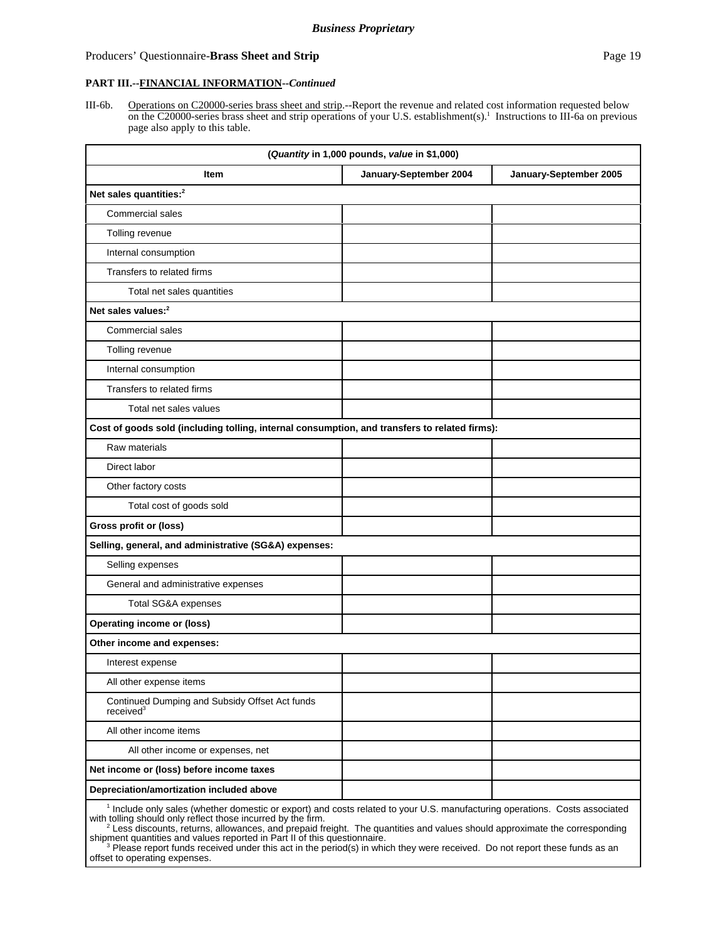#### Producers' Questionnaire-**Brass Sheet and Strip Page 19 Page 19 Page 19 Page 19**

#### **PART III.--FINANCIAL INFORMATION--***Continued*

III-6b. Operations on C20000-series brass sheet and strip.--Report the revenue and related cost information requested below on the C20000-series brass sheet and strip operations of your U.S. establishment(s).1 Instructions to III-6a on previous page also apply to this table.

| (Quantity in 1,000 pounds, value in \$1,000)                                                                                           |                        |                        |  |  |  |  |
|----------------------------------------------------------------------------------------------------------------------------------------|------------------------|------------------------|--|--|--|--|
| Item                                                                                                                                   | January-September 2004 | January-September 2005 |  |  |  |  |
| Net sales quantities: <sup>2</sup>                                                                                                     |                        |                        |  |  |  |  |
| Commercial sales                                                                                                                       |                        |                        |  |  |  |  |
| Tolling revenue                                                                                                                        |                        |                        |  |  |  |  |
| Internal consumption                                                                                                                   |                        |                        |  |  |  |  |
| Transfers to related firms                                                                                                             |                        |                        |  |  |  |  |
| Total net sales quantities                                                                                                             |                        |                        |  |  |  |  |
| Net sales values: <sup>2</sup>                                                                                                         |                        |                        |  |  |  |  |
| <b>Commercial sales</b>                                                                                                                |                        |                        |  |  |  |  |
| Tolling revenue                                                                                                                        |                        |                        |  |  |  |  |
| Internal consumption                                                                                                                   |                        |                        |  |  |  |  |
| Transfers to related firms                                                                                                             |                        |                        |  |  |  |  |
| Total net sales values                                                                                                                 |                        |                        |  |  |  |  |
| Cost of goods sold (including tolling, internal consumption, and transfers to related firms):                                          |                        |                        |  |  |  |  |
| Raw materials                                                                                                                          |                        |                        |  |  |  |  |
| Direct labor                                                                                                                           |                        |                        |  |  |  |  |
| Other factory costs                                                                                                                    |                        |                        |  |  |  |  |
| Total cost of goods sold                                                                                                               |                        |                        |  |  |  |  |
| Gross profit or (loss)                                                                                                                 |                        |                        |  |  |  |  |
| Selling, general, and administrative (SG&A) expenses:                                                                                  |                        |                        |  |  |  |  |
| Selling expenses                                                                                                                       |                        |                        |  |  |  |  |
| General and administrative expenses                                                                                                    |                        |                        |  |  |  |  |
| Total SG&A expenses                                                                                                                    |                        |                        |  |  |  |  |
| <b>Operating income or (loss)</b>                                                                                                      |                        |                        |  |  |  |  |
| Other income and expenses:                                                                                                             |                        |                        |  |  |  |  |
| Interest expense                                                                                                                       |                        |                        |  |  |  |  |
| All other expense items                                                                                                                |                        |                        |  |  |  |  |
| Continued Dumping and Subsidy Offset Act funds<br>received <sup>3</sup>                                                                |                        |                        |  |  |  |  |
| All other income items                                                                                                                 |                        |                        |  |  |  |  |
| All other income or expenses, net                                                                                                      |                        |                        |  |  |  |  |
| Net income or (loss) before income taxes                                                                                               |                        |                        |  |  |  |  |
| Depreciation/amortization included above                                                                                               |                        |                        |  |  |  |  |
| <sup>1</sup> Include only sales (whether domestic or export) and costs related to your U.S. manufacturing operations. Costs associated |                        |                        |  |  |  |  |

with tolling should only reflect those incurred by the firm.<br><sup>2</sup> Less discounts, returns, allowances, and prepaid freight. The quantities and values should approximate the corresponding

shipment quantities and values reported in Part II of this questionnaire.<br><sup>3</sup> Please report funds received under this act in the period(s) in which they were received. Do not report these funds as an offset to operating expenses.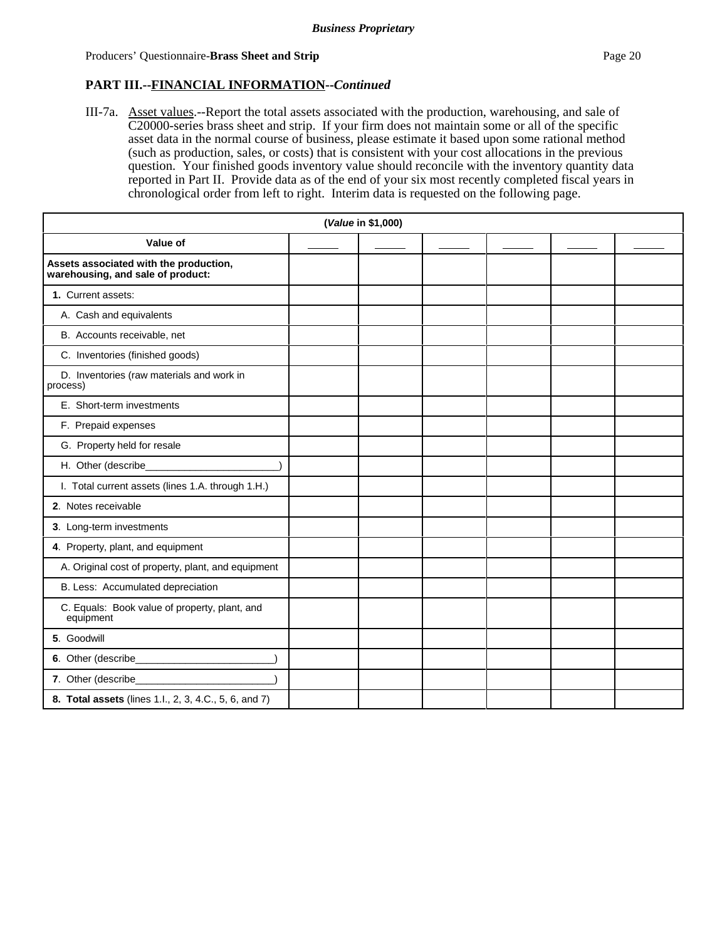#### **PART III.--FINANCIAL INFORMATION--***Continued*

III-7a. Asset values.--Report the total assets associated with the production, warehousing, and sale of C20000-series brass sheet and strip.If your firm does not maintain some or all of the specific asset data in the normal course of business, please estimate it based upon some rational method (such as production, sales, or costs) that is consistent with your cost allocations in the previous question. Your finished goods inventory value should reconcile with the inventory quantity data reported in Part II. Provide data as of the end of your six most recently completed fiscal years in chronological order from left to right. Interim data is requested on the following page.

| (Value in \$1,000)                                                          |  |  |  |  |  |  |  |  |
|-----------------------------------------------------------------------------|--|--|--|--|--|--|--|--|
| Value of                                                                    |  |  |  |  |  |  |  |  |
| Assets associated with the production,<br>warehousing, and sale of product: |  |  |  |  |  |  |  |  |
| 1. Current assets:                                                          |  |  |  |  |  |  |  |  |
| A. Cash and equivalents                                                     |  |  |  |  |  |  |  |  |
| B. Accounts receivable, net                                                 |  |  |  |  |  |  |  |  |
| C. Inventories (finished goods)                                             |  |  |  |  |  |  |  |  |
| D. Inventories (raw materials and work in<br>process)                       |  |  |  |  |  |  |  |  |
| E. Short-term investments                                                   |  |  |  |  |  |  |  |  |
| F. Prepaid expenses                                                         |  |  |  |  |  |  |  |  |
| G. Property held for resale                                                 |  |  |  |  |  |  |  |  |
| H. Other (describe                                                          |  |  |  |  |  |  |  |  |
| I. Total current assets (lines 1.A. through 1.H.)                           |  |  |  |  |  |  |  |  |
| 2. Notes receivable                                                         |  |  |  |  |  |  |  |  |
| 3. Long-term investments                                                    |  |  |  |  |  |  |  |  |
| 4. Property, plant, and equipment                                           |  |  |  |  |  |  |  |  |
| A. Original cost of property, plant, and equipment                          |  |  |  |  |  |  |  |  |
| B. Less: Accumulated depreciation                                           |  |  |  |  |  |  |  |  |
| C. Equals: Book value of property, plant, and<br>equipment                  |  |  |  |  |  |  |  |  |
| 5. Goodwill                                                                 |  |  |  |  |  |  |  |  |
| 6. Other (describe_____________                                             |  |  |  |  |  |  |  |  |
| 7. Other (describe_                                                         |  |  |  |  |  |  |  |  |
| 8. Total assets (lines 1.l., 2, 3, 4.C., 5, 6, and 7)                       |  |  |  |  |  |  |  |  |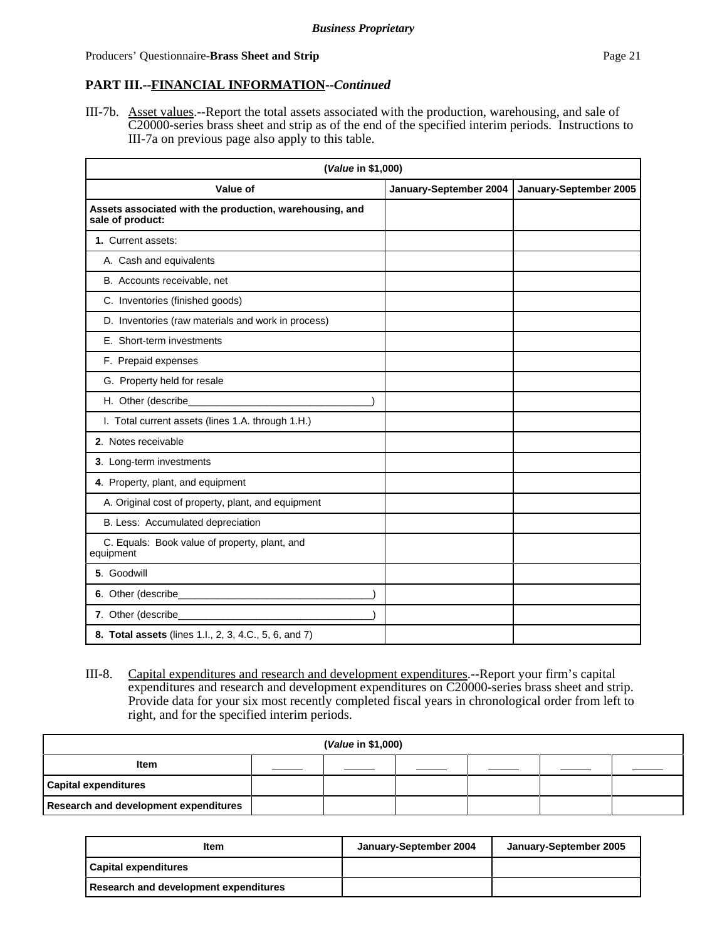# **PART III.--FINANCIAL INFORMATION--***Continued*

III-7b. Asset values.--Report the total assets associated with the production, warehousing, and sale of C20000-series brass sheet and strip as of the end of the specified interim periods. Instructions to III-7a on previous page also apply to this table.

| (Value in \$1,000)                                                          |                        |                        |  |  |
|-----------------------------------------------------------------------------|------------------------|------------------------|--|--|
| Value of                                                                    | January-September 2004 | January-September 2005 |  |  |
| Assets associated with the production, warehousing, and<br>sale of product: |                        |                        |  |  |
| 1. Current assets:                                                          |                        |                        |  |  |
| A. Cash and equivalents                                                     |                        |                        |  |  |
| B. Accounts receivable, net                                                 |                        |                        |  |  |
| C. Inventories (finished goods)                                             |                        |                        |  |  |
| D. Inventories (raw materials and work in process)                          |                        |                        |  |  |
| E. Short-term investments                                                   |                        |                        |  |  |
| F. Prepaid expenses                                                         |                        |                        |  |  |
| G. Property held for resale                                                 |                        |                        |  |  |
| H. Other (describe_                                                         |                        |                        |  |  |
| I. Total current assets (lines 1.A. through 1.H.)                           |                        |                        |  |  |
| 2. Notes receivable                                                         |                        |                        |  |  |
| 3. Long-term investments                                                    |                        |                        |  |  |
| 4. Property, plant, and equipment                                           |                        |                        |  |  |
| A. Original cost of property, plant, and equipment                          |                        |                        |  |  |
| B. Less: Accumulated depreciation                                           |                        |                        |  |  |
| C. Equals: Book value of property, plant, and<br>equipment                  |                        |                        |  |  |
| 5. Goodwill                                                                 |                        |                        |  |  |
|                                                                             |                        |                        |  |  |
| 7. Other (describe_                                                         |                        |                        |  |  |
| 8. Total assets (lines 1.l., 2, 3, 4.C., 5, 6, and 7)                       |                        |                        |  |  |

III-8. Capital expenditures and research and development expenditures.--Report your firm's capital expenditures and research and development expenditures on C20000-series brass sheet and strip. Provide data for your six most recently completed fiscal years in chronological order from left to right, and for the specified interim periods.

| (Value in \$1,000)                           |  |  |  |  |  |
|----------------------------------------------|--|--|--|--|--|
| Item                                         |  |  |  |  |  |
| <b>Capital expenditures</b>                  |  |  |  |  |  |
| <b>Research and development expenditures</b> |  |  |  |  |  |

| <b>Item</b>                           | January-September 2004 | January-September 2005 |
|---------------------------------------|------------------------|------------------------|
| <b>Capital expenditures</b>           |                        |                        |
| Research and development expenditures |                        |                        |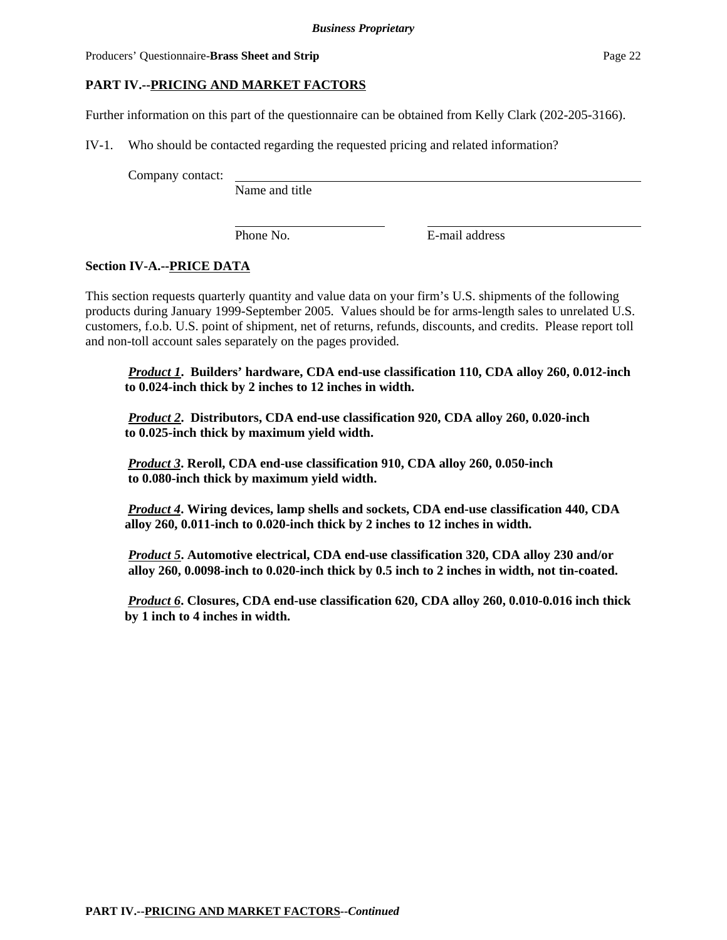Producers' Questionnaire-**Brass Sheet and Strip Page 22 Page 22 Page 22 Page 22 Page 22 Page 22 Page 22 Page 22 Page 22 Page 22 Page 22 Page 22 Page 22 Page 22 Page 22 Page 22 Page 22 Pa** 

# **PART IV.--PRICING AND MARKET FACTORS**

Further information on this part of the questionnaire can be obtained from Kelly Clark (202-205-3166).

IV-1. Who should be contacted regarding the requested pricing and related information?

Company contact:

Name and title

Phone No. **E**-mail address

# **Section IV-A.--PRICE DATA**

This section requests quarterly quantity and value data on your firm's U.S. shipments of the following products during January 1999-September 2005. Values should be for arms-length sales to unrelated U.S. customers, f.o.b. U.S. point of shipment, net of returns, refunds, discounts, and credits. Please report toll and non-toll account sales separately on the pages provided.

*Product 1***. Builders' hardware, CDA end-use classification 110, CDA alloy 260, 0.012-inch to 0.024-inch thick by 2 inches to 12 inches in width.**

*Product 2***. Distributors, CDA end-use classification 920, CDA alloy 260, 0.020-inch to 0.025-inch thick by maximum yield width.**

 *Product 3***. Reroll, CDA end-use classification 910, CDA alloy 260, 0.050-inch to 0.080-inch thick by maximum yield width.**

 *Product 4***. Wiring devices, lamp shells and sockets, CDA end-use classification 440, CDA alloy 260, 0.011-inch to 0.020-inch thick by 2 inches to 12 inches in width.**

*Product 5***. Automotive electrical, CDA end-use classification 320, CDA alloy 230 and/or alloy 260, 0.0098-inch to 0.020-inch thick by 0.5 inch to 2 inches in width, not tin-coated.**

 *Product 6***. Closures, CDA end-use classification 620, CDA alloy 260, 0.010-0.016 inch thick by 1 inch to 4 inches in width.**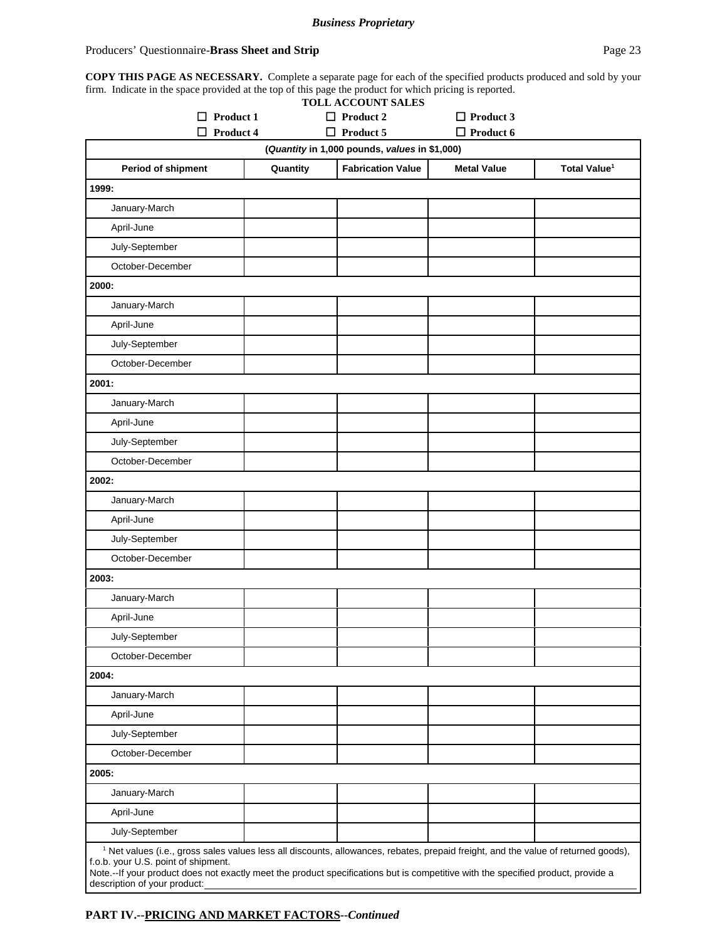#### *Business Proprietary*

#### Producers' Questionnaire-**Brass Sheet and Strip Page 23** Page 23

**COPY THIS PAGE AS NECESSARY.** Complete a separate page for each of the specified products produced and sold by your firm. Indicate in the space provided at the top of this page the product for which pricing is reported.

|                                                                                                                                                                                                                                                                                                                                                          |          | <b>TOLL ACCOUNT SALES</b>          |                                      |                          |
|----------------------------------------------------------------------------------------------------------------------------------------------------------------------------------------------------------------------------------------------------------------------------------------------------------------------------------------------------------|----------|------------------------------------|--------------------------------------|--------------------------|
| Product 1<br>П                                                                                                                                                                                                                                                                                                                                           |          | $\Box$ Product 2<br>Product 5<br>0 | $\Box$ Product 3<br>$\Box$ Product 6 |                          |
| Product 4<br>(Quantity in 1,000 pounds, values in \$1,000)                                                                                                                                                                                                                                                                                               |          |                                    |                                      |                          |
| Period of shipment                                                                                                                                                                                                                                                                                                                                       | Quantity | <b>Fabrication Value</b>           | <b>Metal Value</b>                   | Total Value <sup>1</sup> |
| 1999:                                                                                                                                                                                                                                                                                                                                                    |          |                                    |                                      |                          |
| January-March                                                                                                                                                                                                                                                                                                                                            |          |                                    |                                      |                          |
| April-June                                                                                                                                                                                                                                                                                                                                               |          |                                    |                                      |                          |
| July-September                                                                                                                                                                                                                                                                                                                                           |          |                                    |                                      |                          |
| October-December                                                                                                                                                                                                                                                                                                                                         |          |                                    |                                      |                          |
| 2000:                                                                                                                                                                                                                                                                                                                                                    |          |                                    |                                      |                          |
| January-March                                                                                                                                                                                                                                                                                                                                            |          |                                    |                                      |                          |
| April-June                                                                                                                                                                                                                                                                                                                                               |          |                                    |                                      |                          |
| July-September                                                                                                                                                                                                                                                                                                                                           |          |                                    |                                      |                          |
| October-December                                                                                                                                                                                                                                                                                                                                         |          |                                    |                                      |                          |
| 2001:                                                                                                                                                                                                                                                                                                                                                    |          |                                    |                                      |                          |
| January-March                                                                                                                                                                                                                                                                                                                                            |          |                                    |                                      |                          |
| April-June                                                                                                                                                                                                                                                                                                                                               |          |                                    |                                      |                          |
| July-September                                                                                                                                                                                                                                                                                                                                           |          |                                    |                                      |                          |
| October-December                                                                                                                                                                                                                                                                                                                                         |          |                                    |                                      |                          |
| 2002:                                                                                                                                                                                                                                                                                                                                                    |          |                                    |                                      |                          |
| January-March                                                                                                                                                                                                                                                                                                                                            |          |                                    |                                      |                          |
| April-June                                                                                                                                                                                                                                                                                                                                               |          |                                    |                                      |                          |
| July-September                                                                                                                                                                                                                                                                                                                                           |          |                                    |                                      |                          |
| October-December                                                                                                                                                                                                                                                                                                                                         |          |                                    |                                      |                          |
| 2003:                                                                                                                                                                                                                                                                                                                                                    |          |                                    |                                      |                          |
| January-March                                                                                                                                                                                                                                                                                                                                            |          |                                    |                                      |                          |
| April-June                                                                                                                                                                                                                                                                                                                                               |          |                                    |                                      |                          |
| July-September                                                                                                                                                                                                                                                                                                                                           |          |                                    |                                      |                          |
| October-December                                                                                                                                                                                                                                                                                                                                         |          |                                    |                                      |                          |
| 2004:                                                                                                                                                                                                                                                                                                                                                    |          |                                    |                                      |                          |
| January-March                                                                                                                                                                                                                                                                                                                                            |          |                                    |                                      |                          |
| April-June                                                                                                                                                                                                                                                                                                                                               |          |                                    |                                      |                          |
| July-September                                                                                                                                                                                                                                                                                                                                           |          |                                    |                                      |                          |
| October-December                                                                                                                                                                                                                                                                                                                                         |          |                                    |                                      |                          |
| 2005:                                                                                                                                                                                                                                                                                                                                                    |          |                                    |                                      |                          |
| January-March                                                                                                                                                                                                                                                                                                                                            |          |                                    |                                      |                          |
| April-June                                                                                                                                                                                                                                                                                                                                               |          |                                    |                                      |                          |
| July-September                                                                                                                                                                                                                                                                                                                                           |          |                                    |                                      |                          |
| <sup>1</sup> Net values (i.e., gross sales values less all discounts, allowances, rebates, prepaid freight, and the value of returned goods),<br>f.o.b. your U.S. point of shipment.<br>Note.--If your product does not exactly meet the product specifications but is competitive with the specified product, provide a<br>description of your product: |          |                                    |                                      |                          |

# **PART IV.--PRICING AND MARKET FACTORS--***Continued*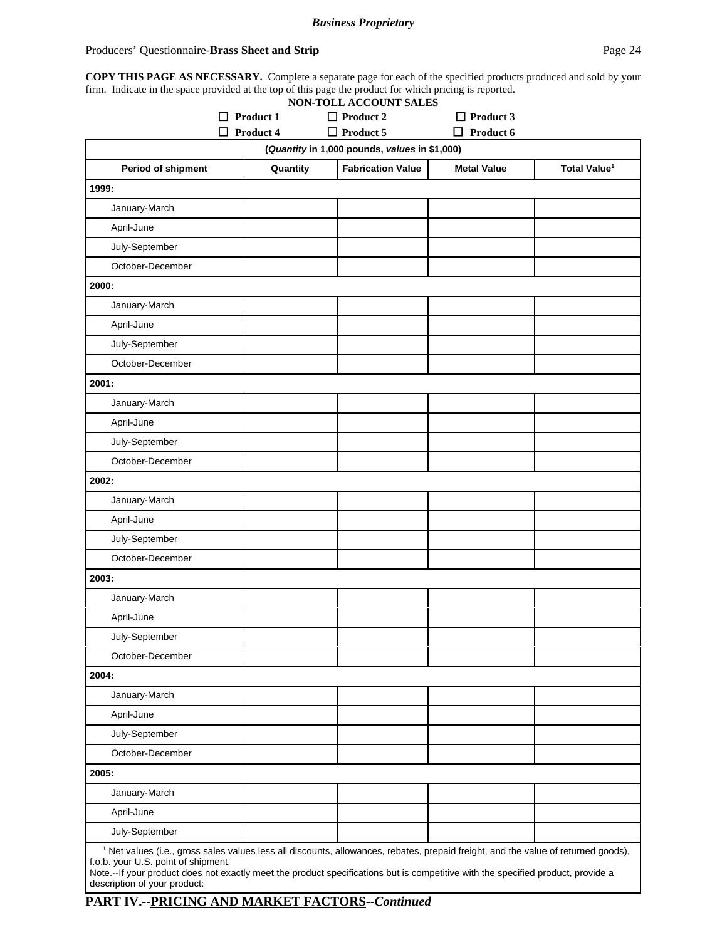#### Producers' Questionnaire-**Brass Sheet and Strip Page 24 Page 24**

**COPY THIS PAGE AS NECESSARY.** Complete a separate page for each of the specified products produced and sold by your firm. Indicate in the space provided at the top of this page the product for which pricing is reported.

|                                                                                                                                                                                                                                                                                                                                                          |                  | NON-TOLL ACCOUNT SALES   |                    |                          |
|----------------------------------------------------------------------------------------------------------------------------------------------------------------------------------------------------------------------------------------------------------------------------------------------------------------------------------------------------------|------------------|--------------------------|--------------------|--------------------------|
|                                                                                                                                                                                                                                                                                                                                                          | $\Box$ Product 1 | $\Box$ Product 2         | $\Box$ Product 3   |                          |
| $\Box$ Product 5<br>$\Box$ Product 6<br>П<br>Product 4<br>(Quantity in 1,000 pounds, values in \$1,000)                                                                                                                                                                                                                                                  |                  |                          |                    |                          |
| Period of shipment                                                                                                                                                                                                                                                                                                                                       | Quantity         | <b>Fabrication Value</b> | <b>Metal Value</b> | Total Value <sup>1</sup> |
| 1999:                                                                                                                                                                                                                                                                                                                                                    |                  |                          |                    |                          |
| January-March                                                                                                                                                                                                                                                                                                                                            |                  |                          |                    |                          |
| April-June                                                                                                                                                                                                                                                                                                                                               |                  |                          |                    |                          |
| July-September                                                                                                                                                                                                                                                                                                                                           |                  |                          |                    |                          |
| October-December                                                                                                                                                                                                                                                                                                                                         |                  |                          |                    |                          |
| 2000:                                                                                                                                                                                                                                                                                                                                                    |                  |                          |                    |                          |
| January-March                                                                                                                                                                                                                                                                                                                                            |                  |                          |                    |                          |
| April-June                                                                                                                                                                                                                                                                                                                                               |                  |                          |                    |                          |
| July-September                                                                                                                                                                                                                                                                                                                                           |                  |                          |                    |                          |
| October-December                                                                                                                                                                                                                                                                                                                                         |                  |                          |                    |                          |
| 2001:                                                                                                                                                                                                                                                                                                                                                    |                  |                          |                    |                          |
| January-March                                                                                                                                                                                                                                                                                                                                            |                  |                          |                    |                          |
| April-June                                                                                                                                                                                                                                                                                                                                               |                  |                          |                    |                          |
| July-September                                                                                                                                                                                                                                                                                                                                           |                  |                          |                    |                          |
| October-December                                                                                                                                                                                                                                                                                                                                         |                  |                          |                    |                          |
| 2002:                                                                                                                                                                                                                                                                                                                                                    |                  |                          |                    |                          |
| January-March                                                                                                                                                                                                                                                                                                                                            |                  |                          |                    |                          |
| April-June                                                                                                                                                                                                                                                                                                                                               |                  |                          |                    |                          |
| July-September                                                                                                                                                                                                                                                                                                                                           |                  |                          |                    |                          |
| October-December                                                                                                                                                                                                                                                                                                                                         |                  |                          |                    |                          |
| 2003:                                                                                                                                                                                                                                                                                                                                                    |                  |                          |                    |                          |
| January-March                                                                                                                                                                                                                                                                                                                                            |                  |                          |                    |                          |
| April-June                                                                                                                                                                                                                                                                                                                                               |                  |                          |                    |                          |
| July-September                                                                                                                                                                                                                                                                                                                                           |                  |                          |                    |                          |
| October-December                                                                                                                                                                                                                                                                                                                                         |                  |                          |                    |                          |
| 2004:                                                                                                                                                                                                                                                                                                                                                    |                  |                          |                    |                          |
| January-March                                                                                                                                                                                                                                                                                                                                            |                  |                          |                    |                          |
| April-June                                                                                                                                                                                                                                                                                                                                               |                  |                          |                    |                          |
| July-September                                                                                                                                                                                                                                                                                                                                           |                  |                          |                    |                          |
| October-December                                                                                                                                                                                                                                                                                                                                         |                  |                          |                    |                          |
| 2005:                                                                                                                                                                                                                                                                                                                                                    |                  |                          |                    |                          |
| January-March                                                                                                                                                                                                                                                                                                                                            |                  |                          |                    |                          |
| April-June                                                                                                                                                                                                                                                                                                                                               |                  |                          |                    |                          |
| July-September                                                                                                                                                                                                                                                                                                                                           |                  |                          |                    |                          |
| <sup>1</sup> Net values (i.e., gross sales values less all discounts, allowances, rebates, prepaid freight, and the value of returned goods),<br>f.o.b. your U.S. point of shipment.<br>Note.--If your product does not exactly meet the product specifications but is competitive with the specified product, provide a<br>description of your product: |                  |                          |                    |                          |

**PART IV.--PRICING AND MARKET FACTORS--***Continued*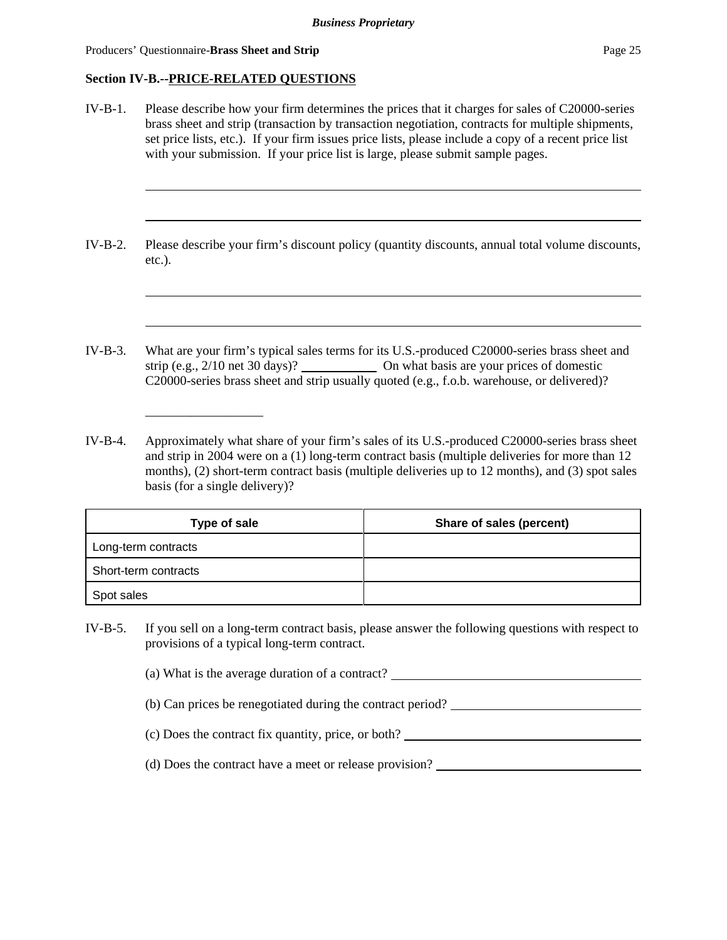Producers' Questionnaire-**Brass Sheet and Strip Page 25 Page 25 Page 25 Page 26** 

## **Section IV-B.--PRICE-RELATED QUESTIONS**

| $IV-B-1.$ | Please describe how your firm determines the prices that it charges for sales of C20000-series<br>brass sheet and strip (transaction by transaction negotiation, contracts for multiple shipments,<br>set price lists, etc.). If your firm issues price lists, please include a copy of a recent price list<br>with your submission. If your price list is large, please submit sample pages. |
|-----------|-----------------------------------------------------------------------------------------------------------------------------------------------------------------------------------------------------------------------------------------------------------------------------------------------------------------------------------------------------------------------------------------------|
| $IV-B-2.$ | Please describe your firm's discount policy (quantity discounts, annual total volume discounts,<br>$etc.$ ).                                                                                                                                                                                                                                                                                  |
| $IV-B-3.$ | What are your firm's typical sales terms for its U.S.-produced C20000-series brass sheet and<br>strip (e.g., $2/10$ net 30 days)? $\qquad \qquad$ On what basis are your prices of domestic<br>C20000-series brass sheet and strip usually quoted (e.g., f.o.b. warehouse, or delivered)?                                                                                                     |
| $IV-R-4$  | Approximately what share of your firm's sales of its U.S.-produced C20000-series brass sheet                                                                                                                                                                                                                                                                                                  |

IV-B-4. Approximately what share of your firm's sales of its U.S.-produced C20000-series brass sheet and strip in 2004 were on a (1) long-term contract basis (multiple deliveries for more than 12 months), (2) short-term contract basis (multiple deliveries up to 12 months), and (3) spot sales basis (for a single delivery)?

| Type of sale         | Share of sales (percent) |
|----------------------|--------------------------|
| Long-term contracts  |                          |
| Short-term contracts |                          |
| Spot sales           |                          |

- IV-B-5. If you sell on a long-term contract basis, please answer the following questions with respect to provisions of a typical long-term contract.
	- (a) What is the average duration of a contract?
	- (b) Can prices be renegotiated during the contract period?
	- (c) Does the contract fix quantity, price, or both?
	- (d) Does the contract have a meet or release provision?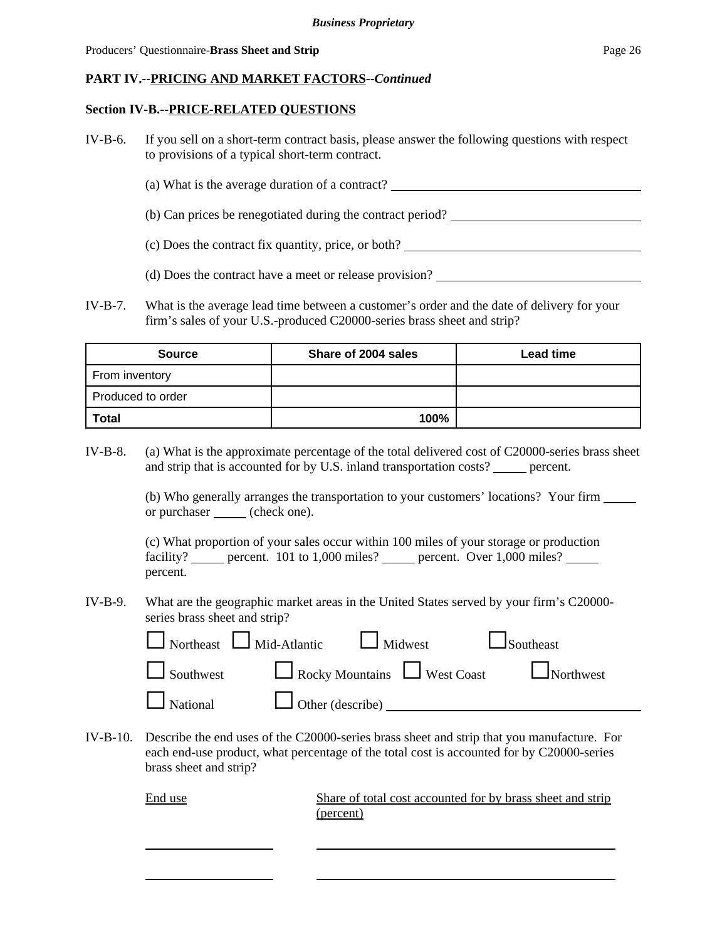Producers' Questionnaire-**Brass Sheet and Strip Page 26 Page 26 Page 26 Page 26** 

#### **PART IV.--PRICING AND MARKET FACTORS--***Continued*

#### **Section IV-B.--PRICE-RELATED QUESTIONS**

- IV-B-6. If you sell on a short-term contract basis, please answer the following questions with respect to provisions of a typical short-term contract.
	- (a) What is the average duration of a contract?
	- (b) Can prices be renegotiated during the contract period?
	- (c) Does the contract fix quantity, price, or both?
	- (d) Does the contract have a meet or release provision?
- IV-B-7. What is the average lead time between a customer's order and the date of delivery for your firm's sales of your U.S.-produced C20000-series brass sheet and strip?

| <b>Source</b>     | Share of 2004 sales | <b>Lead time</b> |
|-------------------|---------------------|------------------|
| From inventory    |                     |                  |
| Produced to order |                     |                  |
| <b>Total</b>      | 100%                |                  |

IV-B-8. (a) What is the approximate percentage of the total delivered cost of C20000-series brass sheet and strip that is accounted for by U.S. inland transportation costs? \_\_\_\_\_\_ percent.

> (b) Who generally arranges the transportation to your customers' locations? Your firm or purchaser (check one).

(c) What proportion of your sales occur within 100 miles of your storage or production facility? percent. 101 to 1,000 miles? percent. Over 1,000 miles? percent.

IV-B-9. What are the geographic market areas in the United States served by your firm's C20000 series brass sheet and strip?

| $\Box$ Northeast $\Box$ Mid-Atlantic $\Box$ Midwest $\Box$ Southeast |                                                                            |
|----------------------------------------------------------------------|----------------------------------------------------------------------------|
|                                                                      | $\Box$ Southwest $\Box$ Rocky Mountains $\Box$ West Coast $\Box$ Northwest |
| $\Box$ National $\Box$ Other (describe) $\Box$                       |                                                                            |

IV-B-10. Describe the end uses of the C20000-series brass sheet and strip that you manufacture. For each end-use product, what percentage of the total cost is accounted for by C20000-series brass sheet and strip?

End use Share of total cost accounted for by brass sheet and strip (percent)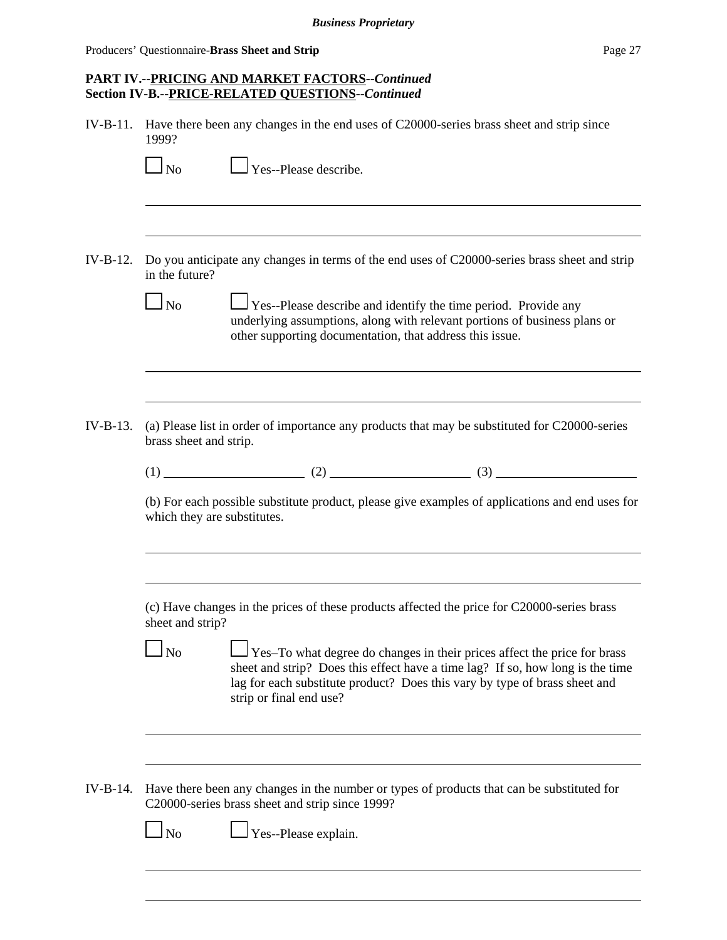Producers' Questionnaire-**Brass Sheet and Strip Page 27 Page 27** 

# **PART IV.--PRICING AND MARKET FACTORS--***Continued* **Section IV-B.--PRICE-RELATED QUESTIONS--***Continued*

IV-B-11. Have there been any changes in the end uses of C20000-series brass sheet and strip since 1999?

| $\Box$ No                                                                 | Yes--Please describe.                                                                                                                                                                                                                                                      |
|---------------------------------------------------------------------------|----------------------------------------------------------------------------------------------------------------------------------------------------------------------------------------------------------------------------------------------------------------------------|
|                                                                           |                                                                                                                                                                                                                                                                            |
| in the future?                                                            | Do you anticipate any changes in terms of the end uses of C20000-series brass sheet and strip                                                                                                                                                                              |
| $\overline{N}$                                                            | Yes--Please describe and identify the time period. Provide any<br>underlying assumptions, along with relevant portions of business plans or<br>other supporting documentation, that address this issue.                                                                    |
|                                                                           | (a) Please list in order of importance any products that may be substituted for C20000-series                                                                                                                                                                              |
|                                                                           |                                                                                                                                                                                                                                                                            |
|                                                                           |                                                                                                                                                                                                                                                                            |
|                                                                           | $(1)$ (1) (2) (2) (3)<br>(b) For each possible substitute product, please give examples of applications and end uses for                                                                                                                                                   |
|                                                                           |                                                                                                                                                                                                                                                                            |
|                                                                           | (c) Have changes in the prices of these products affected the price for C20000-series brass                                                                                                                                                                                |
| <b>No</b>                                                                 | $\Box$ Yes–To what degree do changes in their prices affect the price for brass<br>sheet and strip? Does this effect have a time lag? If so, how long is the time<br>lag for each substitute product? Does this vary by type of brass sheet and<br>strip or final end use? |
|                                                                           |                                                                                                                                                                                                                                                                            |
| brass sheet and strip.<br>which they are substitutes.<br>sheet and strip? | Have there been any changes in the number or types of products that can be substituted for<br>C20000-series brass sheet and strip since 1999?                                                                                                                              |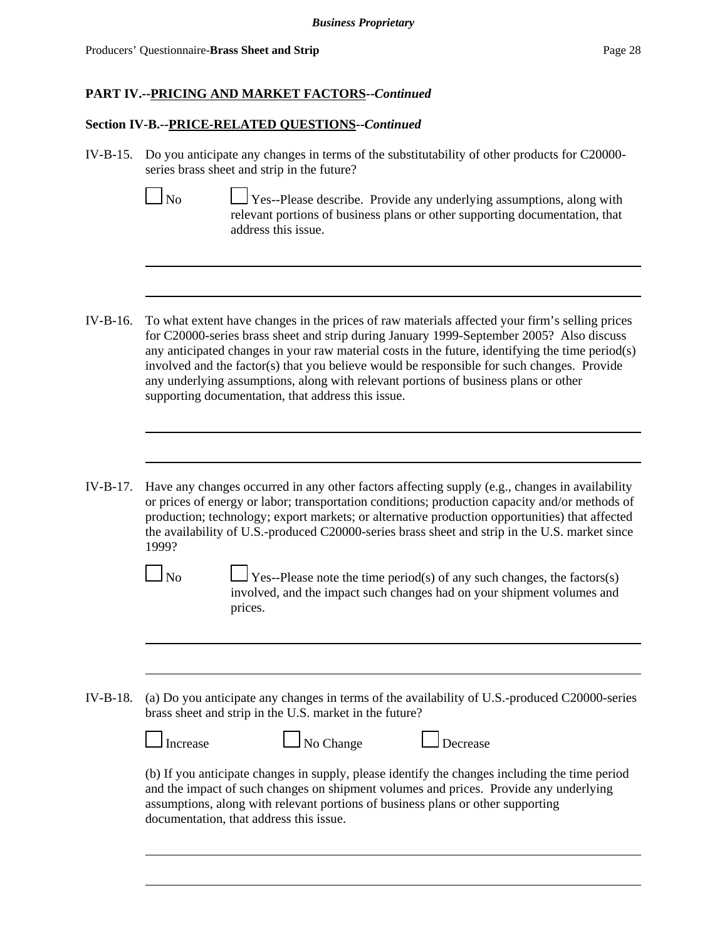Producers' Questionnaire-**Brass Sheet and Strip Page 28 Page 28 Page 28 Page 28** 

#### **PART IV.--PRICING AND MARKET FACTORS--***Continued*

## **Section IV-B.--PRICE-RELATED QUESTIONS--***Continued*

IV-B-15. Do you anticipate any changes in terms of the substitutability of other products for C20000 series brass sheet and strip in the future?

No  $\Box$  Yes--Please describe. Provide any underlying assumptions, along with relevant portions of business plans or other supporting documentation, that address this issue.

- IV-B-16. To what extent have changes in the prices of raw materials affected your firm's selling prices for C20000-series brass sheet and strip during January 1999-September 2005? Also discuss any anticipated changes in your raw material costs in the future, identifying the time period(s) involved and the factor(s) that you believe would be responsible for such changes. Provide any underlying assumptions, along with relevant portions of business plans or other supporting documentation, that address this issue.
- IV-B-17. Have any changes occurred in any other factors affecting supply (e.g., changes in availability or prices of energy or labor; transportation conditions; production capacity and/or methods of production; technology; export markets; or alternative production opportunities) that affected the availability of U.S.-produced C20000-series brass sheet and strip in the U.S. market since 1999?



 $\Box$  No  $\Box$  Yes--Please note the time period(s) of any such changes, the factors(s) involved, and the impact such changes had on your shipment volumes and prices.

IV-B-18. (a) Do you anticipate any changes in terms of the availability of U.S.-produced C20000-series brass sheet and strip in the U.S. market in the future?

| $\Box$ Increase | $\Box$ No Change | <b>Decrease</b> |
|-----------------|------------------|-----------------|
|                 |                  |                 |

(b) If you anticipate changes in supply, please identify the changes including the time period and the impact of such changes on shipment volumes and prices. Provide any underlying assumptions, along with relevant portions of business plans or other supporting documentation, that address this issue.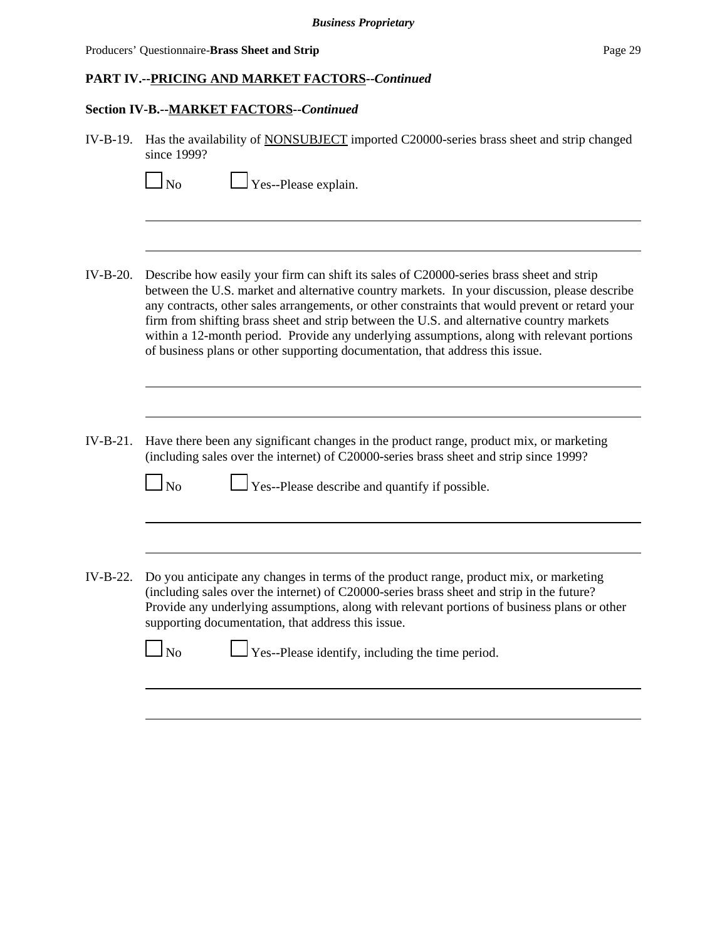Producers' Questionnaire-**Brass Sheet and Strip Page 29 Page 29** 

# **PART IV.--PRICING AND MARKET FACTORS--***Continued*

# **Section IV-B.--MARKET FACTORS--***Continued*

| $IV-B-19.$ | Has the availability of <b>NONSUBJECT</b> imported C20000-series brass sheet and strip changed<br>since 1999?                                                                                                                                                                                                                                                                                                                                                                                                                                                           |
|------------|-------------------------------------------------------------------------------------------------------------------------------------------------------------------------------------------------------------------------------------------------------------------------------------------------------------------------------------------------------------------------------------------------------------------------------------------------------------------------------------------------------------------------------------------------------------------------|
|            | Yes--Please explain.<br>N <sub>o</sub>                                                                                                                                                                                                                                                                                                                                                                                                                                                                                                                                  |
|            |                                                                                                                                                                                                                                                                                                                                                                                                                                                                                                                                                                         |
| $IV-B-20.$ | Describe how easily your firm can shift its sales of C20000-series brass sheet and strip<br>between the U.S. market and alternative country markets. In your discussion, please describe<br>any contracts, other sales arrangements, or other constraints that would prevent or retard your<br>firm from shifting brass sheet and strip between the U.S. and alternative country markets<br>within a 12-month period. Provide any underlying assumptions, along with relevant portions<br>of business plans or other supporting documentation, that address this issue. |
|            |                                                                                                                                                                                                                                                                                                                                                                                                                                                                                                                                                                         |
| $IV-B-21.$ | Have there been any significant changes in the product range, product mix, or marketing<br>(including sales over the internet) of C20000-series brass sheet and strip since 1999?<br>$\Gamma$ Yes--Please describe and quantify if possible.<br>$\log$                                                                                                                                                                                                                                                                                                                  |
|            |                                                                                                                                                                                                                                                                                                                                                                                                                                                                                                                                                                         |
| IV-B-22.   | Do you anticipate any changes in terms of the product range, product mix, or marketing<br>(including sales over the internet) of C20000-series brass sheet and strip in the future?<br>Provide any underlying assumptions, along with relevant portions of business plans or other<br>supporting documentation, that address this issue.                                                                                                                                                                                                                                |
|            | $\Gamma$ Yes--Please identify, including the time period.<br>No                                                                                                                                                                                                                                                                                                                                                                                                                                                                                                         |
|            |                                                                                                                                                                                                                                                                                                                                                                                                                                                                                                                                                                         |
|            |                                                                                                                                                                                                                                                                                                                                                                                                                                                                                                                                                                         |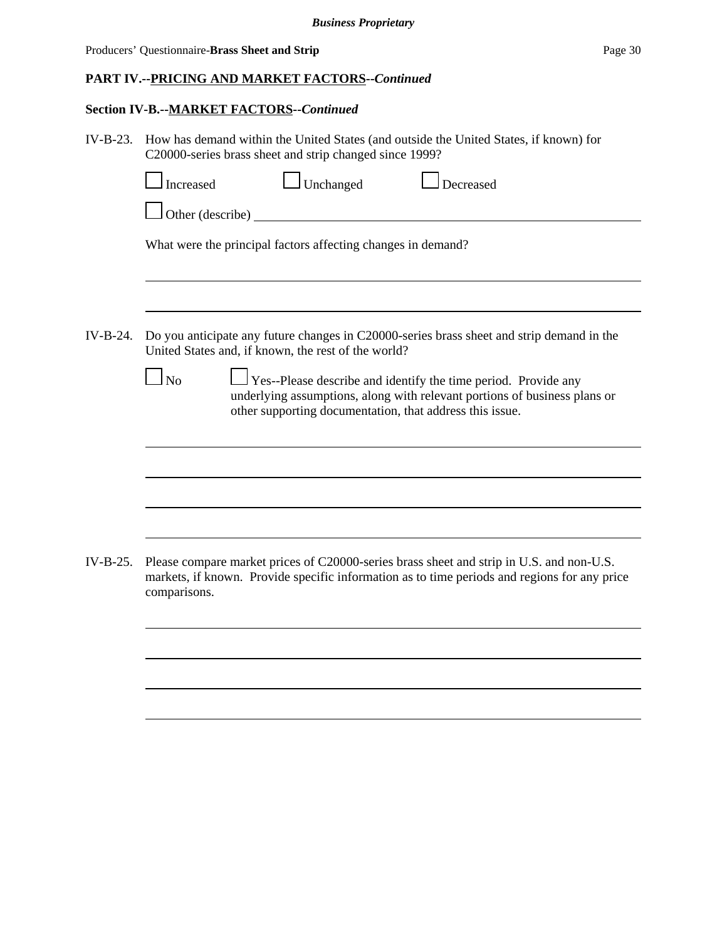# **PART IV.--PRICING AND MARKET FACTORS--***Continued*

# **Section IV-B.--MARKET FACTORS--***Continued*

| Do you anticipate any future changes in C20000-series brass sheet and strip demand in the                                                                                                |
|------------------------------------------------------------------------------------------------------------------------------------------------------------------------------------------|
| Yes--Please describe and identify the time period. Provide any<br>underlying assumptions, along with relevant portions of business plans or                                              |
|                                                                                                                                                                                          |
|                                                                                                                                                                                          |
|                                                                                                                                                                                          |
| Please compare market prices of C20000-series brass sheet and strip in U.S. and non-U.S.<br>markets, if known. Provide specific information as to time periods and regions for any price |
|                                                                                                                                                                                          |
|                                                                                                                                                                                          |
|                                                                                                                                                                                          |
|                                                                                                                                                                                          |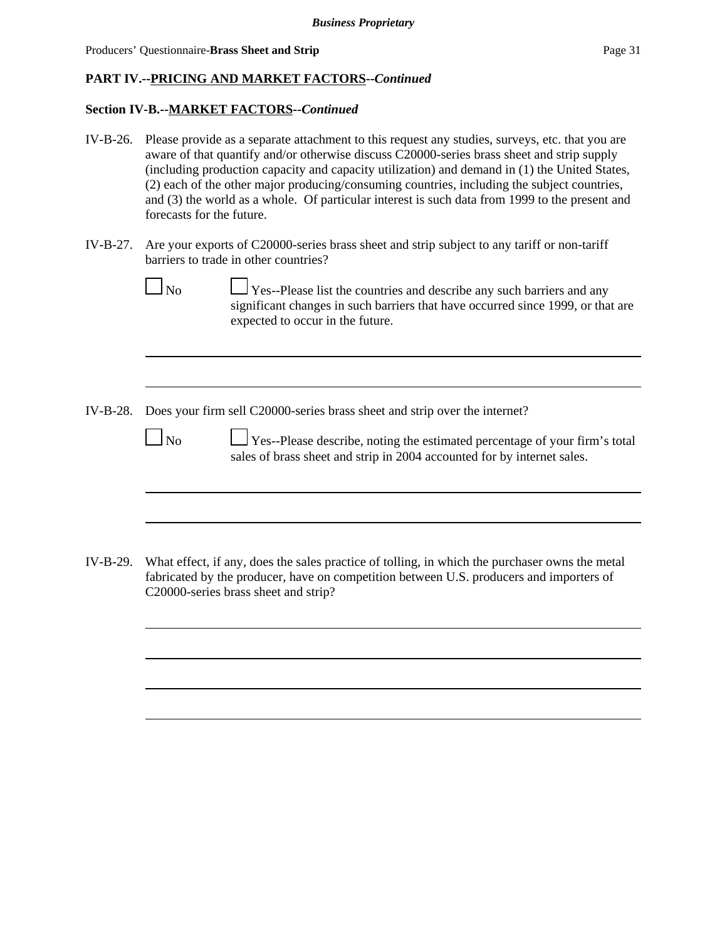# **PART IV.--PRICING AND MARKET FACTORS--***Continued*

### **Section IV-B.--MARKET FACTORS--***Continued*

- IV-B-26. Please provide as a separate attachment to this request any studies, surveys, etc. that you are aware of that quantify and/or otherwise discuss C20000-series brass sheet and strip supply (including production capacity and capacity utilization) and demand in (1) the United States, (2) each of the other major producing/consuming countries, including the subject countries, and (3) the world as a whole. Of particular interest is such data from 1999 to the present and forecasts for the future.
- IV-B-27. Are your exports of C20000-series brass sheet and strip subject to any tariff or non-tariff barriers to trade in other countries?
	-

 $\Box$  No  $\Box$  Yes--Please list the countries and describe any such barriers and any significant changes in such barriers that have occurred since 1999, or that are expected to occur in the future.

IV-B-28. Does your firm sell C20000-series brass sheet and strip over the internet?

 $\Box$ No  $\Box$  Yes--Please describe, noting the estimated percentage of your firm's total sales of brass sheet and strip in 2004 accounted for by internet sales.

IV-B-29. What effect, if any, does the sales practice of tolling, in which the purchaser owns the metal fabricated by the producer, have on competition between U.S. producers and importers of C20000-series brass sheet and strip?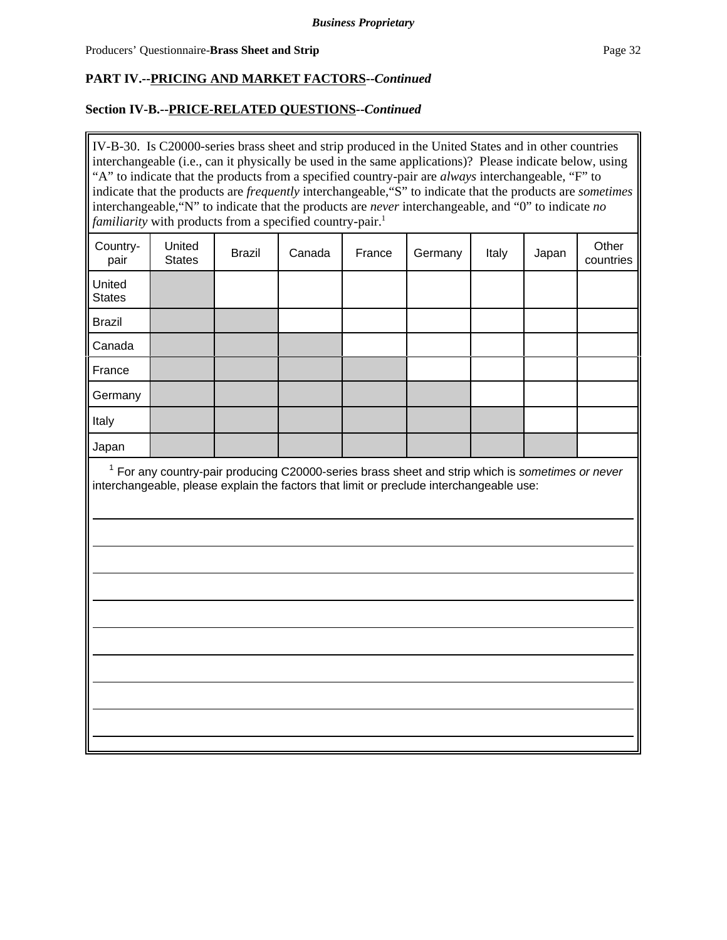# **PART IV.--PRICING AND MARKET FACTORS--***Continued*

# **Section IV-B.--PRICE-RELATED QUESTIONS--***Continued*

IV-B-30. Is C20000-series brass sheet and strip produced in the United States and in other countries interchangeable (i.e., can it physically be used in the same applications)? Please indicate below, using "A" to indicate that the products from a specified country-pair are *always* interchangeable, "F" to indicate that the products are *frequently* interchangeable,"S" to indicate that the products are *sometimes* interchangeable,"N" to indicate that the products are *never* interchangeable, and "0" to indicate *no familiarity* with products from a specified country-pair.<sup>1</sup>

| Country-<br>pair                                                                                                                                                                              | United<br><b>States</b> | <b>Brazil</b> | Canada | France | Germany | Italy | Japan | Other<br>countries |  |
|-----------------------------------------------------------------------------------------------------------------------------------------------------------------------------------------------|-------------------------|---------------|--------|--------|---------|-------|-------|--------------------|--|
| United<br><b>States</b>                                                                                                                                                                       |                         |               |        |        |         |       |       |                    |  |
| <b>Brazil</b>                                                                                                                                                                                 |                         |               |        |        |         |       |       |                    |  |
| Canada                                                                                                                                                                                        |                         |               |        |        |         |       |       |                    |  |
| France                                                                                                                                                                                        |                         |               |        |        |         |       |       |                    |  |
| Germany                                                                                                                                                                                       |                         |               |        |        |         |       |       |                    |  |
| Italy                                                                                                                                                                                         |                         |               |        |        |         |       |       |                    |  |
| Japan                                                                                                                                                                                         |                         |               |        |        |         |       |       |                    |  |
| $1$ For any country-pair producing C20000-series brass sheet and strip which is sometimes or never<br>interchangeable, please explain the factors that limit or preclude interchangeable use: |                         |               |        |        |         |       |       |                    |  |
|                                                                                                                                                                                               |                         |               |        |        |         |       |       |                    |  |
|                                                                                                                                                                                               |                         |               |        |        |         |       |       |                    |  |
|                                                                                                                                                                                               |                         |               |        |        |         |       |       |                    |  |
|                                                                                                                                                                                               |                         |               |        |        |         |       |       |                    |  |
|                                                                                                                                                                                               |                         |               |        |        |         |       |       |                    |  |
|                                                                                                                                                                                               |                         |               |        |        |         |       |       |                    |  |